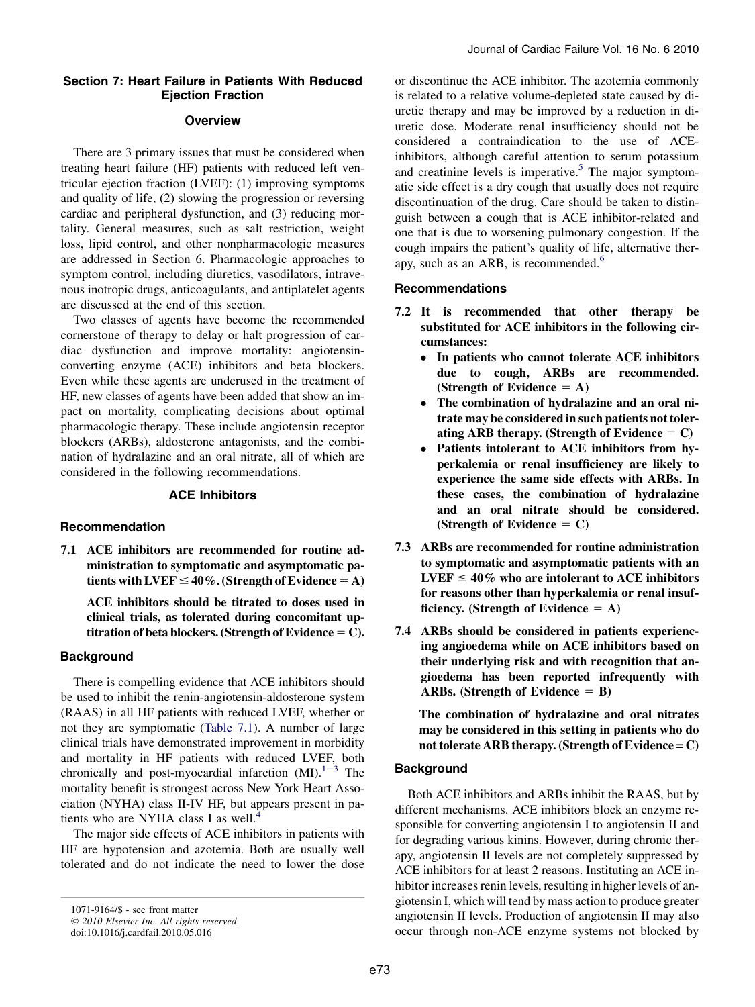### **Overview**

There are 3 primary issues that must be considered when treating heart failure (HF) patients with reduced left ventricular ejection fraction (LVEF): (1) improving symptoms and quality of life, (2) slowing the progression or reversing cardiac and peripheral dysfunction, and (3) reducing mortality. General measures, such as salt restriction, weight loss, lipid control, and other nonpharmacologic measures are addressed in Section 6. Pharmacologic approaches to symptom control, including diuretics, vasodilators, intravenous inotropic drugs, anticoagulants, and antiplatelet agents are discussed at the end of this section.

Two classes of agents have become the recommended cornerstone of therapy to delay or halt progression of cardiac dysfunction and improve mortality: angiotensinconverting enzyme (ACE) inhibitors and beta blockers. Even while these agents are underused in the treatment of HF, new classes of agents have been added that show an impact on mortality, complicating decisions about optimal pharmacologic therapy. These include angiotensin receptor blockers (ARBs), aldosterone antagonists, and the combination of hydralazine and an oral nitrate, all of which are considered in the following recommendations.

## ACE Inhibitors

#### Recommendation

7.1 ACE inhibitors are recommended for routine administration to symptomatic and asymptomatic patients with LVEF  $\leq 40\%$ . (Strength of Evidence  $= A$ )

ACE inhibitors should be titrated to doses used in clinical trials, as tolerated during concomitant uptitration of beta blockers. (Strength of Evidence  $= C$ ).

### **Background**

There is compelling evidence that ACE inhibitors should be used to inhibit the renin-angiotensin-aldosterone system (RAAS) in all HF patients with reduced LVEF, whether or not they are symptomatic ([Table 7.1](#page-1-0)). A number of large clinical trials have demonstrated improvement in morbidity and mortality in HF patients with reduced LVEF, both chronically and post-myocardial infarction  $(MI)$ .<sup>1-3</sup> Th[e](#page-19-0) mortality benefit is strongest across New York Heart Association (NYHA) class II-IV HF, but appears present in pa-tients who are NYHA class I as well.<sup>[4](#page-19-0)</sup>

The major side effects of ACE inhibitors in patients with HF are hypotension and azotemia. Both are usually well tolerated and do not indicate the need to lower the dose

or discontinue the ACE inhibitor. The azotemia commonly is related to a relative volume-depleted state caused by diuretic therapy and may be improved by a reduction in diuretic dose. Moderate renal insufficiency should not be considered a contraindication to the use of ACEinhibitors, although careful attention to serum potassium and creatinine levels is imperative.<sup>5</sup> The major symptomatic side effect is a dry cough that usually does not require discontinuation of the drug. Care should be taken to distinguish between a cough that is ACE inhibitor-related and one that is due to worsening pulmonary congestion. If the cough impairs the patient's quality of life, alternative ther-apy, such as an ARB, is recommended.<sup>[6](#page-19-0)</sup>

## Recommendations

- 7.2 It is recommended that other therapy be substituted for ACE inhibitors in the following circumstances:
	- In patients who cannot tolerate ACE inhibitors due to cough, ARBs are recommended. (Strength of Evidence  $= A$ )
	- The combination of hydralazine and an oral nitrate may be considered in such patients not tolerating ARB therapy. (Strength of Evidence  $= C$ )
	- Patients intolerant to ACE inhibitors from hyperkalemia or renal insufficiency are likely to experience the same side effects with ARBs. In these cases, the combination of hydralazine and an oral nitrate should be considered. (Strength of Evidence  $= C$ )
- 7.3 ARBs are recommended for routine administration to symptomatic and asymptomatic patients with an  $LVEF \leq 40\%$  who are intolerant to ACE inhibitors for reasons other than hyperkalemia or renal insufficiency. (Strength of Evidence  $= A$ )
- 7.4 ARBs should be considered in patients experiencing angioedema while on ACE inhibitors based on their underlying risk and with recognition that angioedema has been reported infrequently with ARBs. (Strength of Evidence  $=$  B)

The combination of hydralazine and oral nitrates may be considered in this setting in patients who do not tolerate ARB therapy. (Strength of Evidence =  $C$ )

### **Background**

Both ACE inhibitors and ARBs inhibit the RAAS, but by different mechanisms. ACE inhibitors block an enzyme responsible for converting angiotensin I to angiotensin II and for degrading various kinins. However, during chronic therapy, angiotensin II levels are not completely suppressed by ACE inhibitors for at least 2 reasons. Instituting an ACE inhibitor increases renin levels, resulting in higher levels of angiotensin I, which will tend by mass action to produce greater angiotensin II levels. Production of angiotensin II may also occur through non-ACE enzyme systems not blocked by

<sup>1071-9164/\$ -</sup> see front matter

<sup>© 2010</sup> Elsevier Inc. All rights reserved.

doi:10.1016/j.cardfail.2010.05.016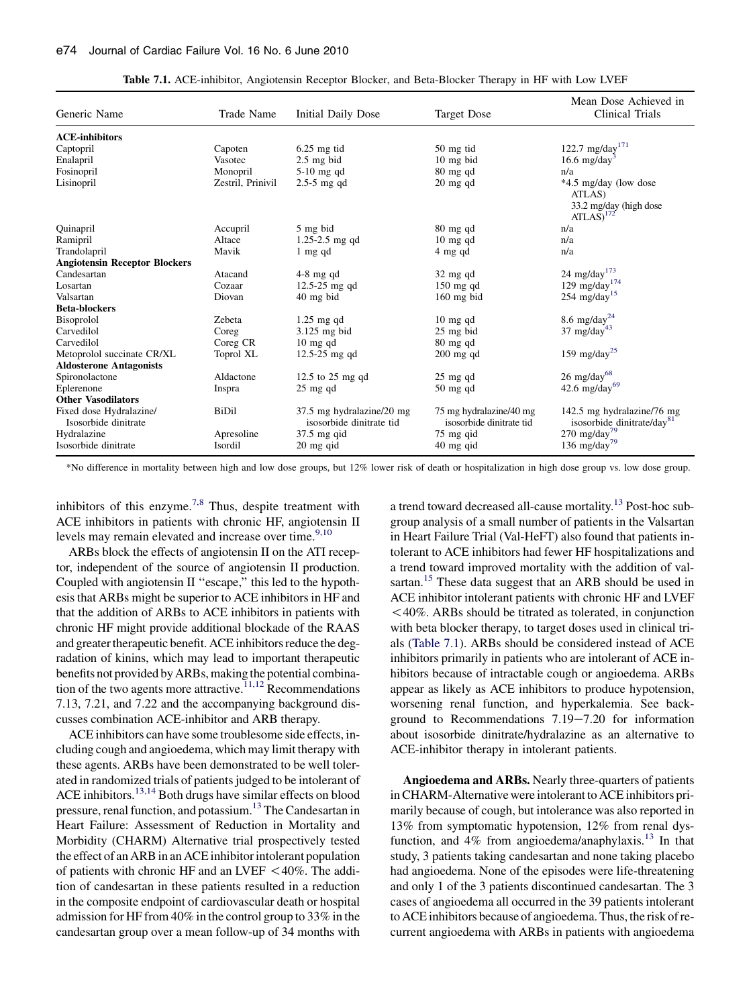<span id="page-1-0"></span>

| Generic Name                                    | Trade Name        | <b>Initial Daily Dose</b>                             | <b>Target Dose</b>                                  | Mean Dose Achieved in<br>Clinical Trials                                            |
|-------------------------------------------------|-------------------|-------------------------------------------------------|-----------------------------------------------------|-------------------------------------------------------------------------------------|
| <b>ACE-inhibitors</b>                           |                   |                                                       |                                                     |                                                                                     |
| Captopril                                       | Capoten           | $6.25$ mg tid                                         | 50 mg tid                                           | 122.7 mg/day <sup>171</sup>                                                         |
| Enalapril                                       | Vasotec           | $2.5$ mg bid                                          | $10$ mg bid                                         | 16.6 mg/day <sup>3</sup>                                                            |
| Fosinopril                                      | Monopril          | $5-10$ mg qd                                          | $80$ mg qd                                          | n/a                                                                                 |
| Lisinopril                                      | Zestril, Prinivil | $2.5-5$ mg qd                                         | $20 \text{ mg}$ qd                                  | *4.5 mg/day (low dose<br>ATLAS)<br>33.2 mg/day (high dose<br>$ATLAS$ <sup>172</sup> |
| Quinapril                                       | Accupril          | 5 mg bid                                              | $80 \text{ mg}$ qd                                  | n/a                                                                                 |
| Ramipril                                        | Altace            | $1.25 - 2.5$ mg qd                                    | $10 \text{ mg}$ qd                                  | n/a                                                                                 |
| Trandolapril                                    | Mavik             | $1 \text{ mg}$ qd                                     | $4 \text{ mg}$ qd                                   | n/a                                                                                 |
| <b>Angiotensin Receptor Blockers</b>            |                   |                                                       |                                                     |                                                                                     |
| Candesartan                                     | Atacand           | $4-8$ mg qd                                           | $32 \text{ mg}$ qd                                  | $24 \text{ mg/day}^{173}$                                                           |
| Losartan                                        | Cozaar            | $12.5 - 25$ mg qd                                     | $150$ mg qd                                         | 129 mg/day $174$                                                                    |
| Valsartan                                       | Diovan            | 40 mg bid                                             | $160$ mg bid                                        | 254 mg/day $15$                                                                     |
| <b>Beta-blockers</b>                            |                   |                                                       |                                                     |                                                                                     |
| Bisoprolol                                      | Zebeta            | $1.25$ mg qd                                          | $10 \text{ mg}$ qd                                  | 8.6 mg/day <sup>24</sup>                                                            |
| Carvedilol                                      | Coreg             | $3.125$ mg bid                                        | 25 mg bid                                           | $37 \text{ mg/day}^{43}$                                                            |
| Carvedilol                                      | Coreg CR          | $10 \text{ mg}$ qd                                    | 80 mg qd                                            |                                                                                     |
| Metoprolol succinate CR/XL                      | Toprol XL         | $12.5 - 25$ mg qd                                     | $200$ mg qd                                         | 159 mg/day <sup>25</sup>                                                            |
| <b>Aldosterone Antagonists</b>                  |                   |                                                       |                                                     |                                                                                     |
| Spironolactone                                  | Aldactone         | 12.5 to 25 mg qd                                      | $25 \text{ mg}$ qd                                  | $26 \text{ mg/day}^{68}$                                                            |
| Eplerenone                                      | Inspra            | $25 \text{ mg}$ qd                                    | $50 \text{ mg}$ qd                                  | $42.6$ mg/day <sup>69</sup>                                                         |
| <b>Other Vasodilators</b>                       |                   |                                                       |                                                     |                                                                                     |
| Fixed dose Hydralazine/<br>Isosorbide dinitrate | BiDil             | 37.5 mg hydralazine/20 mg<br>isosorbide dinitrate tid | 75 mg hydralazine/40 mg<br>isosorbide dinitrate tid | 142.5 mg hydralazine/76 mg<br>isosorbide dinitrate/day <sup>81</sup>                |
| Hydralazine                                     | Apresoline        | $37.5$ mg qid                                         | 75 mg qid                                           | 270 mg/day $^{79}$                                                                  |
| Isosorbide dinitrate                            | Isordil           | $20$ mg qid                                           | $40$ mg qid                                         | 136 mg/day <sup>79</sup>                                                            |

| <b>Table 7.1.</b> ACE-inhibitor. Angiotensin Receptor Blocker, and Beta-Blocker Therapy in HF with Low LVEF |  |  |  |  |
|-------------------------------------------------------------------------------------------------------------|--|--|--|--|
|                                                                                                             |  |  |  |  |

\*No difference in mortality between high and low dose groups, but 12% lower risk of death or hospitalization in high dose group vs. low dose group.

inhibitors of this enzyme.<sup>[7,8](#page-19-0)</sup> Thus, despite treatment with ACE inhibitors in patients with chronic HF, angiotensin II levels may remain elevated and increase over time.<sup>[9,10](#page-19-0)</sup>

ARBs block the effects of angiotensin II on the ATI receptor, independent of the source of angiotensin II production. Coupled with angiotensin II ''escape,'' this led to the hypothesis that ARBs might be superior to ACE inhibitors in HF and that the addition of ARBs to ACE inhibitors in patients with chronic HF might provide additional blockade of the RAAS and greater therapeutic benefit. ACE inhibitors reduce the degradation of kinins, which may lead to important therapeutic benefits not provided by ARBs, making the potential combination of the two agents more attractive.<sup>11,12</sup> Recommendations 7.13, 7.21, and 7.22 and the accompanying background discusses combination ACE-inhibitor and ARB therapy.

ACE inhibitors can have some troublesome side effects, including cough and angioedema, which may limit therapy with these agents. ARBs have been demonstrated to be well tolerated in randomized trials of patients judged to be intolerant of ACE inhibitors.[13,14](#page-19-0) Both drugs have similar effects on blood pressure, renal function, and potassium[.13](#page-19-0) The Candesartan in Heart Failure: Assessment of Reduction in Mortality and Morbidity (CHARM) Alternative trial prospectively tested the effect of an ARB in an ACE inhibitor intolerant population of patients with chronic HF and an LVEF  $\leq 40\%$ . The addition of candesartan in these patients resulted in a reduction in the composite endpoint of cardiovascular death or hospital admission for HF from 40% in the control group to 33% in the candesartan group over a mean follow-up of 34 months with

a trend toward decreased all-cause mortality.<sup>[13](#page-19-0)</sup> Post-hoc subgroup analysis of a small number of patients in the Valsartan in Heart Failure Trial (Val-HeFT) also found that patients intolerant to ACE inhibitors had fewer HF hospitalizations and a trend toward improved mortality with the addition of valsartan.<sup>15</sup> These data suggest that an ARB should be used in ACE inhibitor intolerant patients with chronic HF and LVEF  $\leq$  40%. ARBs should be titrated as tolerated, in conjunction with beta blocker therapy, to target doses used in clinical trials (Table 7.1). ARBs should be considered instead of ACE inhibitors primarily in patients who are intolerant of ACE inhibitors because of intractable cough or angioedema. ARBs appear as likely as ACE inhibitors to produce hypotension, worsening renal function, and hyperkalemia. See background to Recommendations  $7.19 - 7.20$  for information about isosorbide dinitrate/hydralazine as an alternative to ACE-inhibitor therapy in intolerant patients.

Angioedema and ARBs. Nearly three-quarters of patients in CHARM-Alternative were intolerant to ACE inhibitors primarily because of cough, but intolerance was also reported in 13% from symptomatic hypotension, 12% from renal dysfunction, and  $4\%$  from angioedema/anaphylaxis.<sup>13</sup> In that study, 3 patients taking candesartan and none taking placebo had angioedema. None of the episodes were life-threatening and only 1 of the 3 patients discontinued candesartan. The 3 cases of angioedema all occurred in the 39 patients intolerant to ACE inhibitors because of angioedema. Thus, the risk of recurrent angioedema with ARBs in patients with angioedema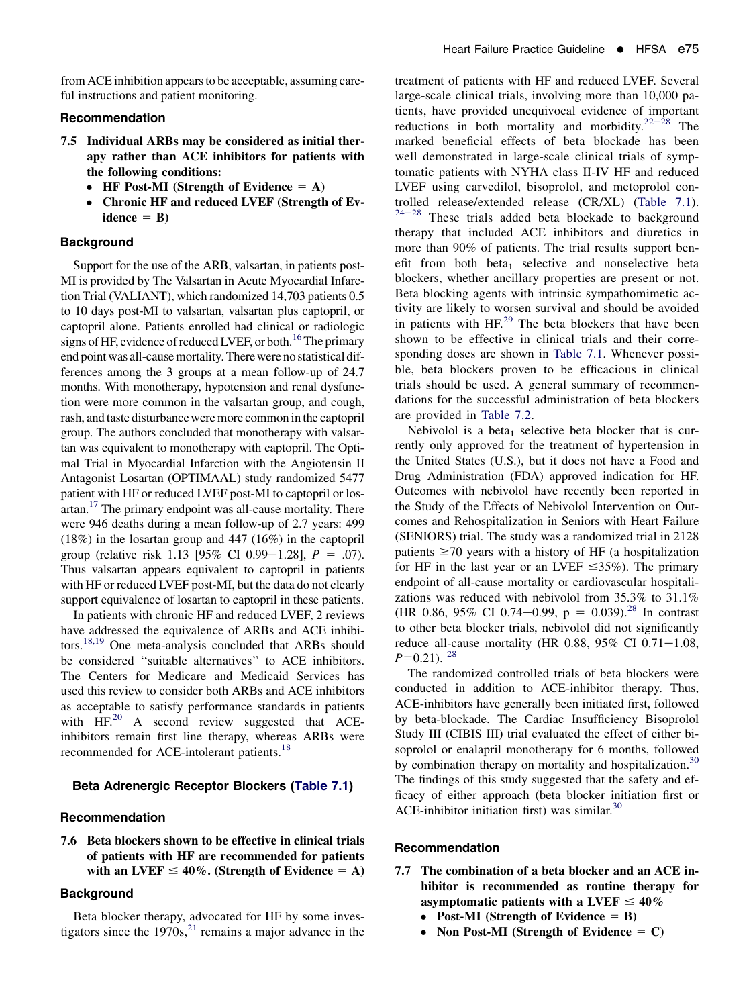from ACE inhibition appears to be acceptable, assuming careful instructions and patient monitoring.

# Recommendation

- 7.5 Individual ARBs may be considered as initial therapy rather than ACE inhibitors for patients with the following conditions:
	- HF Post-MI (Strength of Evidence  $= A$ )
	- Chronic HF and reduced LVEF (Strength of Ev $idence = B$ )

## **Background**

Support for the use of the ARB, valsartan, in patients post-MI is provided by The Valsartan in Acute Myocardial Infarction Trial (VALIANT), which randomized 14,703 patients 0.5 to 10 days post-MI to valsartan, valsartan plus captopril, or captopril alone. Patients enrolled had clinical or radiologic signs of HF, evidence of reduced LVEF, or both.<sup>16</sup>The primary end point was all-cause mortality. Therewere no statistical differences among the 3 groups at a mean follow-up of 24.7 months. With monotherapy, hypotension and renal dysfunction were more common in the valsartan group, and cough, rash, and taste disturbance were more common in the captopril group. The authors concluded that monotherapy with valsartan was equivalent to monotherapy with captopril. The Optimal Trial in Myocardial Infarction with the Angiotensin II Antagonist Losartan (OPTIMAAL) study randomized 5477 patient with HF or reduced LVEF post-MI to captopril or losartan.<sup>17</sup> The primary endpoint was all-cause mortality. There were 946 deaths during a mean follow-up of 2.7 years: 499 (18%) in the losartan group and 447 (16%) in the captopril group (relative risk 1.13 [95% CI 0.99–1.28],  $P = .07$ ). Thus valsartan appears equivalent to captopril in patients with HF or reduced LVEF post-MI, but the data do not clearly support equivalence of losartan to captopril in these patients.

In patients with chronic HF and reduced LVEF, 2 reviews have addressed the equivalence of ARBs and ACE inhibitors.[18,19](#page-19-0) One meta-analysis concluded that ARBs should be considered ''suitable alternatives'' to ACE inhibitors. The Centers for Medicare and Medicaid Services has used this review to consider both ARBs and ACE inhibitors as acceptable to satisfy performance standards in patients with  $HF<sup>20</sup>$  $HF<sup>20</sup>$  $HF<sup>20</sup>$  A second review suggested that ACEinhibitors remain first line therapy, whereas ARBs were recommended for ACE-intolerant patients.<sup>18</sup>

### Beta Adrenergic Receptor Blockers ([Table 7.1\)](#page-1-0)

## Recommendation

# 7.6 Beta blockers shown to be effective in clinical trials of patients with HF are recommended for patients with an LVEF  $\leq 40\%$ . (Strength of Evidence = A)

## **Background**

Beta blocker therapy, advocated for HF by some investigators since the  $1970s$ ,<sup>[21](#page-19-0)</sup> remains a major advance in the treatment of patients with HF and reduced LVEF. Several large-scale clinical trials, involving more than 10,000 patients, have provided unequivocal evidence of important reductions in both mortality and morbidity.<sup>22-[28](#page-19-0)</sup> The marked beneficial effects of beta blockade has been well demonstrated in large-scale clinical trials of symptomatic patients with NYHA class II-IV HF and reduced LVEF using carvedilol, bisoprolol, and metoprolol con[trolle](#page-19-0)d release/extended release (CR/XL) ([Table 7.1](#page-1-0)).  $24-28$  These trials added beta blockade to background therapy that included ACE inhibitors and diuretics in more than 90% of patients. The trial results support benefit from both beta<sub>1</sub> selective and nonselective beta blockers, whether ancillary properties are present or not. Beta blocking agents with intrinsic sympathomimetic activity are likely to worsen survival and should be avoided in patients with  $HF^{29}$  $HF^{29}$  $HF^{29}$  The beta blockers that have been shown to be effective in clinical trials and their corresponding doses are shown in [Table 7.1](#page-1-0). Whenever possible, beta blockers proven to be efficacious in clinical trials should be used. A general summary of recommendations for the successful administration of beta blockers are provided in [Table 7.2.](#page-3-0)

Nebivolol is a beta<sub>1</sub> selective beta blocker that is currently only approved for the treatment of hypertension in the United States (U.S.), but it does not have a Food and Drug Administration (FDA) approved indication for HF. Outcomes with nebivolol have recently been reported in the Study of the Effects of Nebivolol Intervention on Outcomes and Rehospitalization in Seniors with Heart Failure (SENIORS) trial. The study was a randomized trial in 2128 patients  $\geq$  70 years with a history of HF (a hospitalization for HF in the last year or an LVEF  $\leq$ 35%). The primary endpoint of all-cause mortality or cardiovascular hospitalizations was reduced with nebivolol from 35.3% to 31.1% (HR 0.86, 95% CI 0.74–0.99,  $p = 0.039$ .<sup>[28](#page-20-0)</sup> In contrast to other beta blocker trials, nebivolol did not significantly reduce all-cause mortality (HR  $0.88$ ,  $95\%$  CI  $0.71-1.08$ ,  $P=0.21$ ). <sup>[28](#page-20-0)</sup>

The randomized controlled trials of beta blockers were conducted in addition to ACE-inhibitor therapy. Thus, ACE-inhibitors have generally been initiated first, followed by beta-blockade. The Cardiac Insufficiency Bisoprolol Study III (CIBIS III) trial evaluated the effect of either bisoprolol or enalapril monotherapy for 6 months, followed by combination therapy on mortality and hospitalization.<sup>[30](#page-20-0)</sup> The findings of this study suggested that the safety and efficacy of either approach (beta blocker initiation first or ACE-inhibitor initiation first) was similar. $30$ 

### Recommendation

- 7.7 The combination of a beta blocker and an ACE inhibitor is recommended as routine therapy for asymptomatic patients with a LVEF  $\leq 40\%$ 
	- Post-MI (Strength of Evidence  $=$  B)
	- Non Post-MI (Strength of Evidence  $= C$ )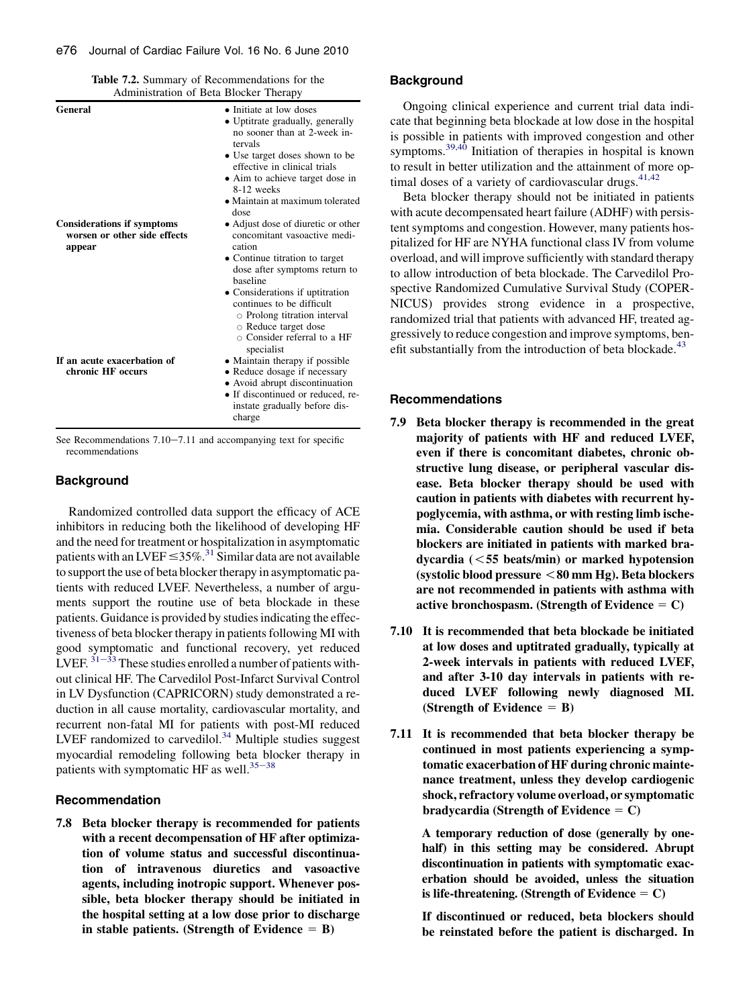Table 7.2. Summary of Recommendations for the Administration of Beta Blocker Therapy

<span id="page-3-0"></span>

| General                           | • Initiate at low doses<br>• Uptitrate gradually, generally<br>no sooner than at 2-week in-<br>tervals<br>• Use target doses shown to be<br>effective in clinical trials<br>• Aim to achieve target dose in<br>8-12 weeks<br>• Maintain at maximum tolerated<br>dose |
|-----------------------------------|----------------------------------------------------------------------------------------------------------------------------------------------------------------------------------------------------------------------------------------------------------------------|
| <b>Considerations if symptoms</b> | • Adjust dose of diuretic or other                                                                                                                                                                                                                                   |
| worsen or other side effects      | concomitant vasoactive medi-                                                                                                                                                                                                                                         |
| appear                            | cation                                                                                                                                                                                                                                                               |
|                                   | • Continue titration to target<br>dose after symptoms return to<br>baseline<br>• Considerations if uptitration<br>continues to be difficult<br>o Prolong titration interval<br>○ Reduce target dose<br>$\circ$ Consider referral to a HF                             |
|                                   | specialist                                                                                                                                                                                                                                                           |
| If an acute exacerbation of       | • Maintain therapy if possible                                                                                                                                                                                                                                       |
| chronic HF occurs                 | • Reduce dosage if necessary<br>• Avoid abrupt discontinuation<br>• If discontinued or reduced, re-<br>instate gradually before dis-<br>charge                                                                                                                       |

See Recommendations  $7.10-7.11$  and accompanying text for specific recommendations

### **Background**

Randomized controlled data support the efficacy of ACE inhibitors in reducing both the likelihood of developing HF and the need for treatment or hospitalization in asymptomatic patients with an LVEF  $\leq$ 35%.<sup>31</sup> Similar data are not available to support the use of beta blocker therapy in asymptomatic patients with reduced LVEF. Nevertheless, a number of arguments support the routine use of beta blockade in these patients. Guidance is provided by studies indicating the effectiveness of beta blocker therapy in patients following MI with good symptomatic and functional recovery, yet reduced LVEF.  $31-33$  $31-33$  These studies enrolled a number of patients without clinical HF. The Carvedilol Post-Infarct Survival Control in LV Dysfunction (CAPRICORN) study demonstrated a reduction in all cause mortality, cardiovascular mortality, and recurrent non-fatal MI for patients with post-MI reduced LVEF randomized to carvedilol. $34$  Multiple studies suggest myocardial remodeling following beta blocker therapy in patients with symptomatic HF as well. $35-38$ 

#### Recommendation

7.8 Beta blocker therapy is recommended for patients with a recent decompensation of HF after optimization of volume status and successful discontinuation of intravenous diuretics and vasoactive agents, including inotropic support. Whenever possible, beta blocker therapy should be initiated in the hospital setting at a low dose prior to discharge in stable patients. (Strength of Evidence  $=$  B)

## **Background**

Ongoing clinical experience and current trial data indicate that beginning beta blockade at low dose in the hospital is possible in patients with improved congestion and other symptoms.<sup>[39,40](#page-20-0)</sup> Initiation of therapies in hospital is known to result in better utilization and the attainment of more optimal doses of a variety of cardiovascular drugs. $41,42$ 

Beta blocker therapy should not be initiated in patients with acute decompensated heart failure (ADHF) with persistent symptoms and congestion. However, many patients hospitalized for HF are NYHA functional class IV from volume overload, and will improve sufficiently with standard therapy to allow introduction of beta blockade. The Carvedilol Prospective Randomized Cumulative Survival Study (COPER-NICUS) provides strong evidence in a prospective, randomized trial that patients with advanced HF, treated aggressively to reduce congestion and improve symptoms, ben-efit substantially from the introduction of beta blockade.<sup>[43](#page-20-0)</sup>

### Recommendations

- 7.9 Beta blocker therapy is recommended in the great majority of patients with HF and reduced LVEF, even if there is concomitant diabetes, chronic obstructive lung disease, or peripheral vascular disease. Beta blocker therapy should be used with caution in patients with diabetes with recurrent hypoglycemia, with asthma, or with resting limb ischemia. Considerable caution should be used if beta blockers are initiated in patients with marked bradycardia  $(<55$  beats/min) or marked hypotension (systolic blood pressure  $<80$  mm Hg). Beta blockers are not recommended in patients with asthma with active bronchospasm. (Strength of Evidence  $= C$ )
- 7.10 It is recommended that beta blockade be initiated at low doses and uptitrated gradually, typically at 2-week intervals in patients with reduced LVEF, and after 3-10 day intervals in patients with reduced LVEF following newly diagnosed MI. (Strength of Evidence  $=$  B)
- 7.11 It is recommended that beta blocker therapy be continued in most patients experiencing a symptomatic exacerbation of HF during chronic maintenance treatment, unless they develop cardiogenic shock, refractory volume overload, or symptomatic bradycardia (Strength of Evidence  $= C$ )

A temporary reduction of dose (generally by onehalf) in this setting may be considered. Abrupt discontinuation in patients with symptomatic exacerbation should be avoided, unless the situation is life-threatening. (Strength of Evidence  $= C$ )

If discontinued or reduced, beta blockers should be reinstated before the patient is discharged. In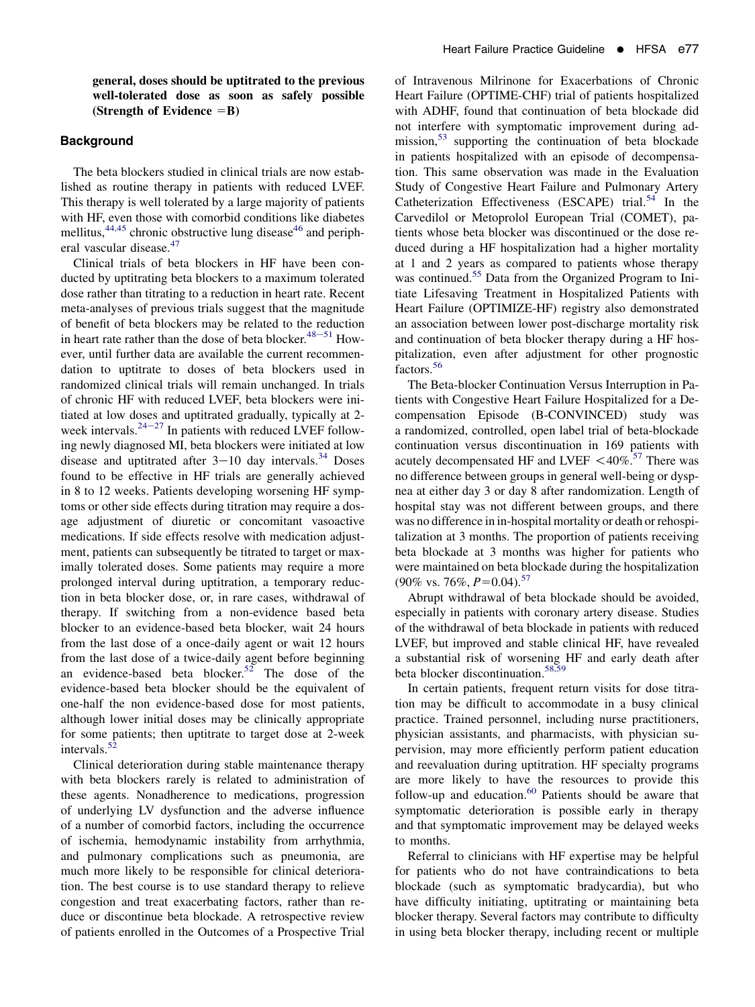general, doses should be uptitrated to the previous well-tolerated dose as soon as safely possible (Strength of Evidence  $=$  B)

### **Background**

The beta blockers studied in clinical trials are now established as routine therapy in patients with reduced LVEF. This therapy is well tolerated by a large majority of patients with HF, even those with comorbid conditions like diabetes mellitus,  $44,45$  chronic obstructive lung disease  $46$  and periph-eral vascular disease.<sup>[47](#page-20-0)</sup>

Clinical trials of beta blockers in HF have been conducted by uptitrating beta blockers to a maximum tolerated dose rather than titrating to a reduction in heart rate. Recent meta-analyses of previous trials suggest that the magnitude of benefit of beta blockers may be related to the reduction in heart rate rather than the dose of beta blocker. $48-51$  $48-51$  However, until further data are available the current recommendation to uptitrate to doses of beta blockers used in randomized clinical trials will remain unchanged. In trials of chronic HF with reduced LVEF, beta blockers were initiated at low doses and uptitrated gradually, typically at 2 week intervals. $24-27$  $24-27$  In patients with reduced LVEF following newly diagnosed MI, beta blockers were initiated at low disease and uptitrated after  $3-10$  day intervals.<sup>[34](#page-20-0)</sup> Doses found to be effective in HF trials are generally achieved in 8 to 12 weeks. Patients developing worsening HF symptoms or other side effects during titration may require a dosage adjustment of diuretic or concomitant vasoactive medications. If side effects resolve with medication adjustment, patients can subsequently be titrated to target or maximally tolerated doses. Some patients may require a more prolonged interval during uptitration, a temporary reduction in beta blocker dose, or, in rare cases, withdrawal of therapy. If switching from a non-evidence based beta blocker to an evidence-based beta blocker, wait 24 hours from the last dose of a once-daily agent or wait 12 hours from the last dose of a twice-daily agent before beginning an evidence-based beta blocker.<sup>52</sup> The dose of the evidence-based beta blocker should be the equivalent of one-half the non evidence-based dose for most patients, although lower initial doses may be clinically appropriate for some patients; then uptitrate to target dose at 2-week intervals.<sup>[52](#page-20-0)</sup>

Clinical deterioration during stable maintenance therapy with beta blockers rarely is related to administration of these agents. Nonadherence to medications, progression of underlying LV dysfunction and the adverse influence of a number of comorbid factors, including the occurrence of ischemia, hemodynamic instability from arrhythmia, and pulmonary complications such as pneumonia, are much more likely to be responsible for clinical deterioration. The best course is to use standard therapy to relieve congestion and treat exacerbating factors, rather than reduce or discontinue beta blockade. A retrospective review of patients enrolled in the Outcomes of a Prospective Trial of Intravenous Milrinone for Exacerbations of Chronic Heart Failure (OPTIME-CHF) trial of patients hospitalized with ADHF, found that continuation of beta blockade did not interfere with symptomatic improvement during admission,  $53$  supporting the continuation of beta blockade in patients hospitalized with an episode of decompensation. This same observation was made in the Evaluation Study of Congestive Heart Failure and Pulmonary Artery Catheterization Effectiveness (ESCAPE) trial. $54$  In the Carvedilol or Metoprolol European Trial (COMET), patients whose beta blocker was discontinued or the dose reduced during a HF hospitalization had a higher mortality at 1 and 2 years as compared to patients whose therapy was continued.<sup>[55](#page-20-0)</sup> Data from the Organized Program to Initiate Lifesaving Treatment in Hospitalized Patients with Heart Failure (OPTIMIZE-HF) registry also demonstrated an association between lower post-discharge mortality risk and continuation of beta blocker therapy during a HF hospitalization, even after adjustment for other prognostic factors.[56](#page-20-0)

The Beta-blocker Continuation Versus Interruption in Patients with Congestive Heart Failure Hospitalized for a Decompensation Episode (B-CONVINCED) study was a randomized, controlled, open label trial of beta-blockade continuation versus discontinuation in 169 patients with acutely decompensated HF and LVEF  $\leq 40\%$ .<sup>[57](#page-20-0)</sup> There was no difference between groups in general well-being or dyspnea at either day 3 or day 8 after randomization. Length of hospital stay was not different between groups, and there was no difference in in-hospital mortality or death or rehospitalization at 3 months. The proportion of patients receiving beta blockade at 3 months was higher for patients who were maintained on beta blockade during the hospitalization  $(90\% \text{ vs. } 76\%, P=0.04).$ <sup>[57](#page-20-0)</sup>

Abrupt withdrawal of beta blockade should be avoided, especially in patients with coronary artery disease. Studies of the withdrawal of beta blockade in patients with reduced LVEF, but improved and stable clinical HF, have revealed a substantial risk of worsening HF and early death after beta blocker discontinuation.<sup>[58,59](#page-20-0)</sup>

In certain patients, frequent return visits for dose titration may be difficult to accommodate in a busy clinical practice. Trained personnel, including nurse practitioners, physician assistants, and pharmacists, with physician supervision, may more efficiently perform patient education and reevaluation during uptitration. HF specialty programs are more likely to have the resources to provide this follow-up and education. $60$  Patients should be aware that symptomatic deterioration is possible early in therapy and that symptomatic improvement may be delayed weeks to months.

Referral to clinicians with HF expertise may be helpful for patients who do not have contraindications to beta blockade (such as symptomatic bradycardia), but who have difficulty initiating, uptitrating or maintaining beta blocker therapy. Several factors may contribute to difficulty in using beta blocker therapy, including recent or multiple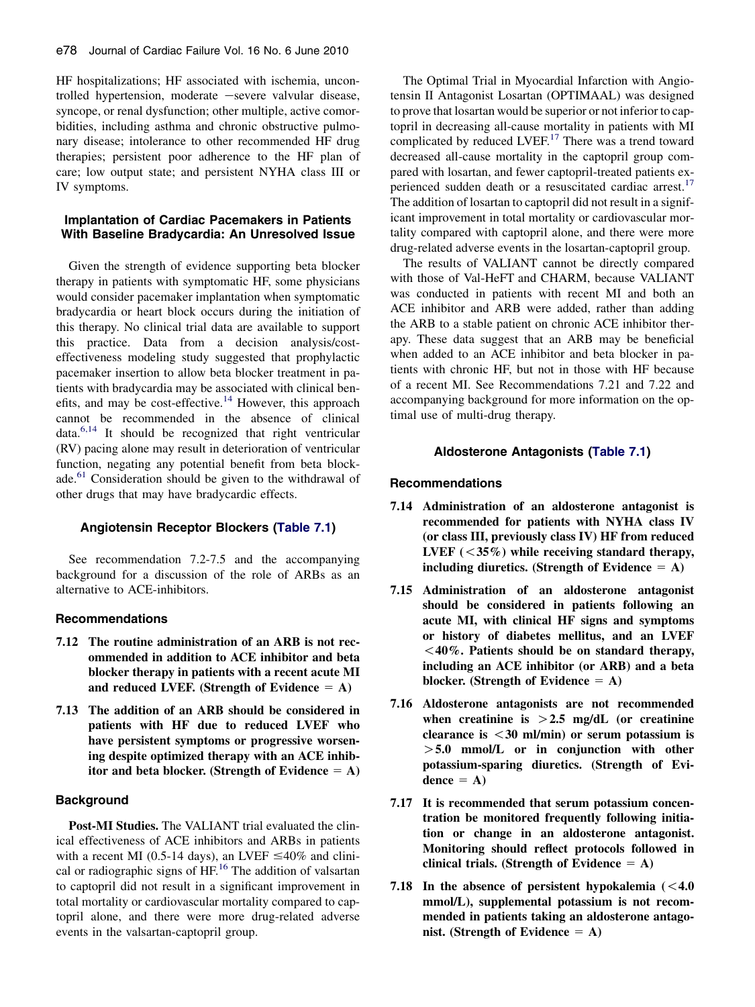HF hospitalizations; HF associated with ischemia, uncontrolled hypertension, moderate -severe valvular disease, syncope, or renal dysfunction; other multiple, active comorbidities, including asthma and chronic obstructive pulmonary disease; intolerance to other recommended HF drug therapies; persistent poor adherence to the HF plan of care; low output state; and persistent NYHA class III or IV symptoms.

## Implantation of Cardiac Pacemakers in Patients With Baseline Bradycardia: An Unresolved Issue

Given the strength of evidence supporting beta blocker therapy in patients with symptomatic HF, some physicians would consider pacemaker implantation when symptomatic bradycardia or heart block occurs during the initiation of this therapy. No clinical trial data are available to support this practice. Data from a decision analysis/costeffectiveness modeling study suggested that prophylactic pacemaker insertion to allow beta blocker treatment in patients with bradycardia may be associated with clinical benefits, and may be cost-effective[.14](#page-19-0) However, this approach cannot be recommended in the absence of clinical data. $6,14$  It should be recognized that right ventricular (RV) pacing alone may result in deterioration of ventricular function, negating any potential benefit from beta blockade. $61$  Consideration should be given to the withdrawal of other drugs that may have bradycardic effects.

## Angiotensin Receptor Blockers [\(Table 7.1\)](#page-1-0)

See recommendation 7.2-7.5 and the accompanying background for a discussion of the role of ARBs as an alternative to ACE-inhibitors.

### Recommendations

- 7.12 The routine administration of an ARB is not recommended in addition to ACE inhibitor and beta blocker therapy in patients with a recent acute MI and reduced LVEF. (Strength of Evidence  $= A$ )
- 7.13 The addition of an ARB should be considered in patients with HF due to reduced LVEF who have persistent symptoms or progressive worsening despite optimized therapy with an ACE inhibitor and beta blocker. (Strength of Evidence  $= A$ )

### Background

Post-MI Studies. The VALIANT trial evaluated the clinical effectiveness of ACE inhibitors and ARBs in patients with a recent MI (0.5-14 days), an LVEF  $\leq 40\%$  and clinical or radiographic signs of  $HF<sup>16</sup>$  $HF<sup>16</sup>$  $HF<sup>16</sup>$ . The addition of valsartan to captopril did not result in a significant improvement in total mortality or cardiovascular mortality compared to captopril alone, and there were more drug-related adverse events in the valsartan-captopril group.

The Optimal Trial in Myocardial Infarction with Angiotensin II Antagonist Losartan (OPTIMAAL) was designed to prove that losartan would be superior or not inferior to captopril in decreasing all-cause mortality in patients with MI complicated by reduced LVEF.<sup>[17](#page-19-0)</sup> There was a trend toward decreased all-cause mortality in the captopril group compared with losartan, and fewer captopril-treated patients ex-perienced sudden death or a resuscitated cardiac arrest.<sup>[17](#page-19-0)</sup> The addition of losartan to captopril did not result in a significant improvement in total mortality or cardiovascular mortality compared with captopril alone, and there were more drug-related adverse events in the losartan-captopril group.

The results of VALIANT cannot be directly compared with those of Val-HeFT and CHARM, because VALIANT was conducted in patients with recent MI and both an ACE inhibitor and ARB were added, rather than adding the ARB to a stable patient on chronic ACE inhibitor therapy. These data suggest that an ARB may be beneficial when added to an ACE inhibitor and beta blocker in patients with chronic HF, but not in those with HF because of a recent MI. See Recommendations 7.21 and 7.22 and accompanying background for more information on the optimal use of multi-drug therapy.

### Aldosterone Antagonists ([Table 7.1\)](#page-1-0)

#### Recommendations

- 7.14 Administration of an aldosterone antagonist is recommended for patients with NYHA class IV (or class III, previously class IV) HF from reduced LVEF  $(<35\%)$  while receiving standard therapy, including diuretics. (Strength of Evidence  $= A$ )
- 7.15 Administration of an aldosterone antagonist should be considered in patients following an acute MI, with clinical HF signs and symptoms or history of diabetes mellitus, and an LVEF  $140\%$ . Patients should be on standard therapy, including an ACE inhibitor (or ARB) and a beta blocker. (Strength of Evidence  $= A$ )
- 7.16 Aldosterone antagonists are not recommended when creatinine is  $>2.5$  mg/dL (or creatinine clearance is  $<30$  ml/min) or serum potassium is  $>5.0$  mmol/L or in conjunction with other potassium-sparing diuretics. (Strength of Evidence  $= A$ )
- 7.17 It is recommended that serum potassium concentration be monitored frequently following initiation or change in an aldosterone antagonist. Monitoring should reflect protocols followed in clinical trials. (Strength of Evidence  $= A$ )
- 7.18 In the absence of persistent hypokalemia  $(< 4.0$ mmol/L), supplemental potassium is not recommended in patients taking an aldosterone antagonist. (Strength of Evidence  $= A$ )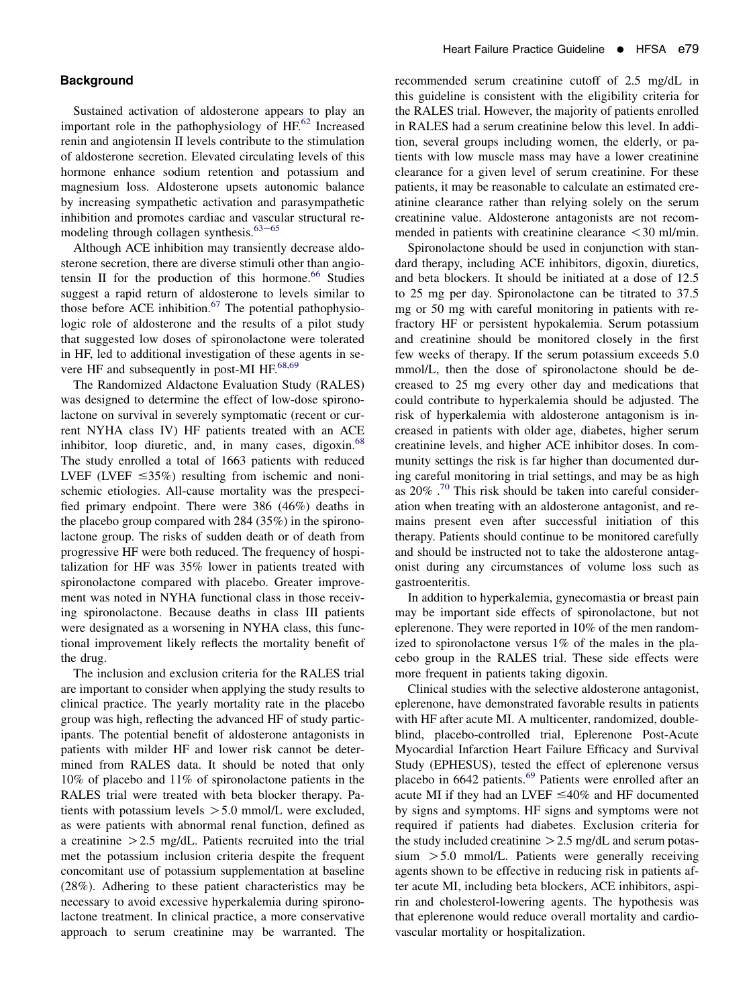## **Background**

Sustained activation of aldosterone appears to play an important role in the pathophysiology of HF.<sup>[62](#page-21-0)</sup> Increased renin and angiotensin II levels contribute to the stimulation of aldosterone secretion. Elevated circulating levels of this hormone enhance sodium retention and potassium and magnesium loss. Aldosterone upsets autonomic balance by increasing sympathetic activation and parasympathetic inhibition and promotes cardiac and [vascu](#page-21-0)lar structural remodeling through collagen synthesis. $63-65$ 

Although ACE inhibition may transiently decrease aldosterone secretion, there are diverse stimuli other than angiotensin II for the production of this hormone. $66$  Studies suggest a rapid return of aldosterone to levels similar to those before ACE inhibition.<sup>[67](#page-21-0)</sup> The potential pathophysiologic role of aldosterone and the results of a pilot study that suggested low doses of spironolactone were tolerated in HF, led to additional investigation of these agents in severe HF and subsequently in post-MI HF.<sup>68,69</sup>

The Randomized Aldactone Evaluation Study (RALES) was designed to determine the effect of low-dose spironolactone on survival in severely symptomatic (recent or current NYHA class IV) HF patients treated with an ACE inhibitor, loop diuretic, and, in many cases, digoxin.<sup>[68](#page-21-0)</sup> The study enrolled a total of 1663 patients with reduced LVEF (LVEF  $\leq$ 35%) resulting from ischemic and nonischemic etiologies. All-cause mortality was the prespecified primary endpoint. There were 386 (46%) deaths in the placebo group compared with 284 (35%) in the spironolactone group. The risks of sudden death or of death from progressive HF were both reduced. The frequency of hospitalization for HF was 35% lower in patients treated with spironolactone compared with placebo. Greater improvement was noted in NYHA functional class in those receiving spironolactone. Because deaths in class III patients were designated as a worsening in NYHA class, this functional improvement likely reflects the mortality benefit of the drug.

The inclusion and exclusion criteria for the RALES trial are important to consider when applying the study results to clinical practice. The yearly mortality rate in the placebo group was high, reflecting the advanced HF of study participants. The potential benefit of aldosterone antagonists in patients with milder HF and lower risk cannot be determined from RALES data. It should be noted that only 10% of placebo and 11% of spironolactone patients in the RALES trial were treated with beta blocker therapy. Patients with potassium levels  $> 5.0$  mmol/L were excluded, as were patients with abnormal renal function, defined as a creatinine  $>2.5$  mg/dL. Patients recruited into the trial met the potassium inclusion criteria despite the frequent concomitant use of potassium supplementation at baseline (28%). Adhering to these patient characteristics may be necessary to avoid excessive hyperkalemia during spironolactone treatment. In clinical practice, a more conservative approach to serum creatinine may be warranted. The

recommended serum creatinine cutoff of 2.5 mg/dL in this guideline is consistent with the eligibility criteria for the RALES trial. However, the majority of patients enrolled in RALES had a serum creatinine below this level. In addition, several groups including women, the elderly, or patients with low muscle mass may have a lower creatinine clearance for a given level of serum creatinine. For these patients, it may be reasonable to calculate an estimated creatinine clearance rather than relying solely on the serum creatinine value. Aldosterone antagonists are not recommended in patients with creatinine clearance  $\langle 30 \text{ ml/min.} \rangle$ .

Spironolactone should be used in conjunction with standard therapy, including ACE inhibitors, digoxin, diuretics, and beta blockers. It should be initiated at a dose of 12.5 to 25 mg per day. Spironolactone can be titrated to 37.5 mg or 50 mg with careful monitoring in patients with refractory HF or persistent hypokalemia. Serum potassium and creatinine should be monitored closely in the first few weeks of therapy. If the serum potassium exceeds 5.0 mmol/L, then the dose of spironolactone should be decreased to 25 mg every other day and medications that could contribute to hyperkalemia should be adjusted. The risk of hyperkalemia with aldosterone antagonism is increased in patients with older age, diabetes, higher serum creatinine levels, and higher ACE inhibitor doses. In community settings the risk is far higher than documented during careful monitoring in trial settings, and may be as high as  $20\%$ .<sup>[70](#page-21-0)</sup> This risk should be taken into careful consideration when treating with an aldosterone antagonist, and remains present even after successful initiation of this therapy. Patients should continue to be monitored carefully and should be instructed not to take the aldosterone antagonist during any circumstances of volume loss such as gastroenteritis.

In addition to hyperkalemia, gynecomastia or breast pain may be important side effects of spironolactone, but not eplerenone. They were reported in 10% of the men randomized to spironolactone versus 1% of the males in the placebo group in the RALES trial. These side effects were more frequent in patients taking digoxin.

Clinical studies with the selective aldosterone antagonist, eplerenone, have demonstrated favorable results in patients with HF after acute MI. A multicenter, randomized, doubleblind, placebo-controlled trial, Eplerenone Post-Acute Myocardial Infarction Heart Failure Efficacy and Survival Study (EPHESUS), tested the effect of eplerenone versus placebo in 6642 patients.<sup>[69](#page-21-0)</sup> Patients were enrolled after an acute MI if they had an LVEF  $\leq 40\%$  and HF documented by signs and symptoms. HF signs and symptoms were not required if patients had diabetes. Exclusion criteria for the study included creatinine  $> 2.5$  mg/dL and serum potas $sium > 5.0$  mmol/L. Patients were generally receiving agents shown to be effective in reducing risk in patients after acute MI, including beta blockers, ACE inhibitors, aspirin and cholesterol-lowering agents. The hypothesis was that eplerenone would reduce overall mortality and cardiovascular mortality or hospitalization.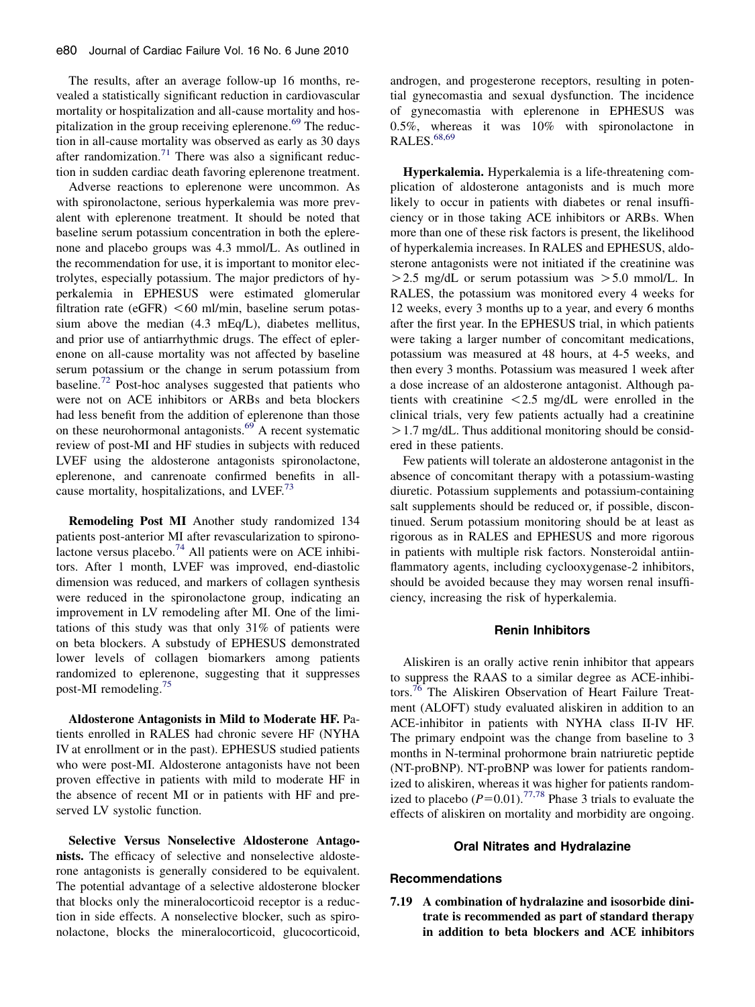The results, after an average follow-up 16 months, revealed a statistically significant reduction in cardiovascular mortality or hospitalization and all-cause mortality and hos-pitalization in the group receiving eplerenone.<sup>[69](#page-21-0)</sup> The reduction in all-cause mortality was observed as early as 30 days after randomization.<sup>[71](#page-21-0)</sup> There was also a significant reduction in sudden cardiac death favoring eplerenone treatment.

Adverse reactions to eplerenone were uncommon. As with spironolactone, serious hyperkalemia was more prevalent with eplerenone treatment. It should be noted that baseline serum potassium concentration in both the eplerenone and placebo groups was 4.3 mmol/L. As outlined in the recommendation for use, it is important to monitor electrolytes, especially potassium. The major predictors of hyperkalemia in EPHESUS were estimated glomerular filtration rate  $(eGFR)$  <60 ml/min, baseline serum potassium above the median (4.3 mEq/L), diabetes mellitus, and prior use of antiarrhythmic drugs. The effect of eplerenone on all-cause mortality was not affected by baseline serum potassium or the change in serum potassium from baseline.[72](#page-21-0) Post-hoc analyses suggested that patients who were not on ACE inhibitors or ARBs and beta blockers had less benefit from the addition of eplerenone than those on these neurohormonal antagonists.<sup>[69](#page-21-0)</sup> A recent systematic review of post-MI and HF studies in subjects with reduced LVEF using the aldosterone antagonists spironolactone, eplerenone, and canrenoate confirmed benefits in all-cause mortality, hospitalizations, and LVEF.<sup>[73](#page-21-0)</sup>

Remodeling Post MI Another study randomized 134 patients post-anterior MI after revascularization to spirono-lactone versus placebo.<sup>[74](#page-21-0)</sup> All patients were on ACE inhibitors. After 1 month, LVEF was improved, end-diastolic dimension was reduced, and markers of collagen synthesis were reduced in the spironolactone group, indicating an improvement in LV remodeling after MI. One of the limitations of this study was that only 31% of patients were on beta blockers. A substudy of EPHESUS demonstrated lower levels of collagen biomarkers among patients randomized to eplerenone, suggesting that it suppresses post-MI remodeling.[75](#page-21-0)

Aldosterone Antagonists in Mild to Moderate HF. Patients enrolled in RALES had chronic severe HF (NYHA IV at enrollment or in the past). EPHESUS studied patients who were post-MI. Aldosterone antagonists have not been proven effective in patients with mild to moderate HF in the absence of recent MI or in patients with HF and preserved LV systolic function.

Selective Versus Nonselective Aldosterone Antagonists. The efficacy of selective and nonselective aldosterone antagonists is generally considered to be equivalent. The potential advantage of a selective aldosterone blocker that blocks only the mineralocorticoid receptor is a reduction in side effects. A nonselective blocker, such as spironolactone, blocks the mineralocorticoid, glucocorticoid,

androgen, and progesterone receptors, resulting in potential gynecomastia and sexual dysfunction. The incidence of gynecomastia with eplerenone in EPHESUS was 0.5%, whereas it was 10% with spironolactone in RALES.[68,69](#page-21-0)

Hyperkalemia. Hyperkalemia is a life-threatening complication of aldosterone antagonists and is much more likely to occur in patients with diabetes or renal insufficiency or in those taking ACE inhibitors or ARBs. When more than one of these risk factors is present, the likelihood of hyperkalemia increases. In RALES and EPHESUS, aldosterone antagonists were not initiated if the creatinine was  $>$  2.5 mg/dL or serum potassium was  $>$  5.0 mmol/L. In RALES, the potassium was monitored every 4 weeks for 12 weeks, every 3 months up to a year, and every 6 months after the first year. In the EPHESUS trial, in which patients were taking a larger number of concomitant medications, potassium was measured at 48 hours, at 4-5 weeks, and then every 3 months. Potassium was measured 1 week after a dose increase of an aldosterone antagonist. Although patients with creatinine  $\langle 2.5 \rangle$  mg/dL were enrolled in the clinical trials, very few patients actually had a creatinine  $>1.7$  mg/dL. Thus additional monitoring should be considered in these patients.

Few patients will tolerate an aldosterone antagonist in the absence of concomitant therapy with a potassium-wasting diuretic. Potassium supplements and potassium-containing salt supplements should be reduced or, if possible, discontinued. Serum potassium monitoring should be at least as rigorous as in RALES and EPHESUS and more rigorous in patients with multiple risk factors. Nonsteroidal antiinflammatory agents, including cyclooxygenase-2 inhibitors, should be avoided because they may worsen renal insufficiency, increasing the risk of hyperkalemia.

#### Renin Inhibitors

Aliskiren is an orally active renin inhibitor that appears to suppress the RAAS to a similar degree as ACE-inhibi-tors.<sup>[76](#page-21-0)</sup> The Aliskiren Observation of Heart Failure Treatment (ALOFT) study evaluated aliskiren in addition to an ACE-inhibitor in patients with NYHA class II-IV HF. The primary endpoint was the change from baseline to 3 months in N-terminal prohormone brain natriuretic peptide (NT-proBNP). NT-proBNP was lower for patients randomized to aliskiren, whereas it was higher for patients randomized to placebo  $(P=0.01)$ .<sup>[77,78](#page-21-0)</sup> Phase 3 trials to evaluate the effects of aliskiren on mortality and morbidity are ongoing.

#### Oral Nitrates and Hydralazine

#### Recommendations

7.19 A combination of hydralazine and isosorbide dinitrate is recommended as part of standard therapy in addition to beta blockers and ACE inhibitors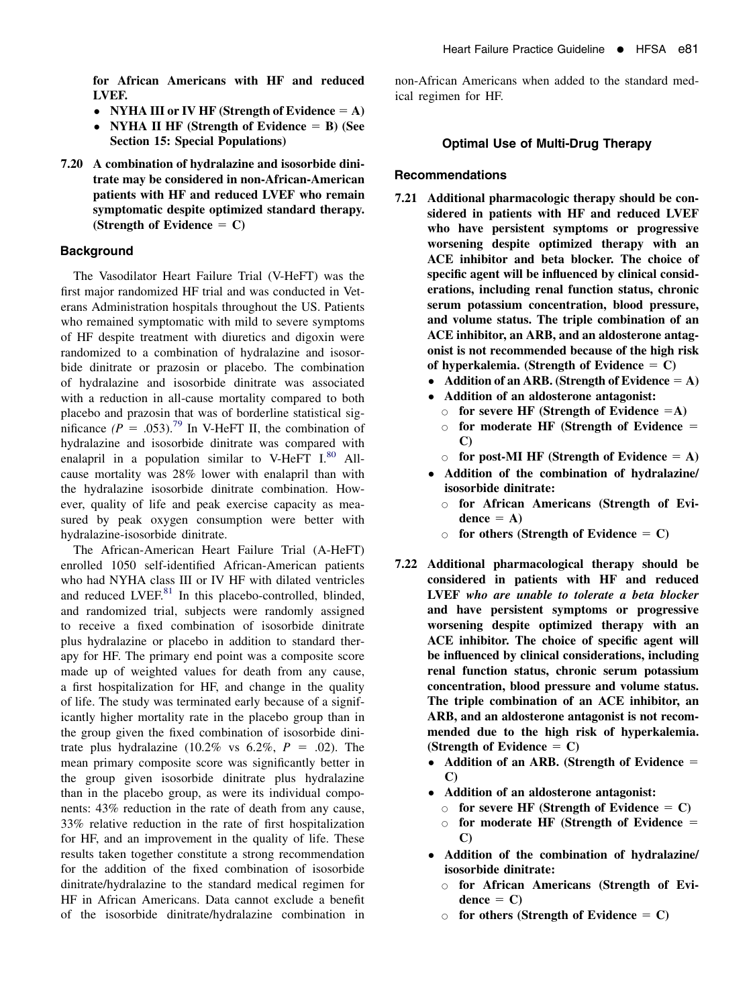for African Americans with HF and reduced LVEF.

- NYHA III or IV HF (Strength of Evidence  $= A$ )
- NYHA II HF (Strength of Evidence  $=$  B) (See Section 15: Special Populations)
- 7.20 A combination of hydralazine and isosorbide dinitrate may be considered in non-African-American patients with HF and reduced LVEF who remain symptomatic despite optimized standard therapy. (Strength of Evidence  $= C$ )

## **Background**

The Vasodilator Heart Failure Trial (V-HeFT) was the first major randomized HF trial and was conducted in Veterans Administration hospitals throughout the US. Patients who remained symptomatic with mild to severe symptoms of HF despite treatment with diuretics and digoxin were randomized to a combination of hydralazine and isosorbide dinitrate or prazosin or placebo. The combination of hydralazine and isosorbide dinitrate was associated with a reduction in all-cause mortality compared to both placebo and prazosin that was of borderline statistical significance ( $P = .053$ ).<sup>[79](#page-21-0)</sup> In V-HeFT II, the combination of hydralazine and isosorbide dinitrate was compared with enalapril in a population similar to V-HeFT  $I^{80}$  $I^{80}$  $I^{80}$  Allcause mortality was 28% lower with enalapril than with the hydralazine isosorbide dinitrate combination. However, quality of life and peak exercise capacity as measured by peak oxygen consumption were better with hydralazine-isosorbide dinitrate.

The African-American Heart Failure Trial (A-HeFT) enrolled 1050 self-identified African-American patients who had NYHA class III or IV HF with dilated ventricles and reduced LVEF. $81$  In this placebo-controlled, blinded, and randomized trial, subjects were randomly assigned to receive a fixed combination of isosorbide dinitrate plus hydralazine or placebo in addition to standard therapy for HF. The primary end point was a composite score made up of weighted values for death from any cause, a first hospitalization for HF, and change in the quality of life. The study was terminated early because of a significantly higher mortality rate in the placebo group than in the group given the fixed combination of isosorbide dinitrate plus hydralazine (10.2% vs 6.2%,  $P = .02$ ). The mean primary composite score was significantly better in the group given isosorbide dinitrate plus hydralazine than in the placebo group, as were its individual components: 43% reduction in the rate of death from any cause, 33% relative reduction in the rate of first hospitalization for HF, and an improvement in the quality of life. These results taken together constitute a strong recommendation for the addition of the fixed combination of isosorbide dinitrate/hydralazine to the standard medical regimen for HF in African Americans. Data cannot exclude a benefit of the isosorbide dinitrate/hydralazine combination in

non-African Americans when added to the standard medical regimen for HF.

### Optimal Use of Multi-Drug Therapy

### Recommendations

- 7.21 Additional pharmacologic therapy should be considered in patients with HF and reduced LVEF who have persistent symptoms or progressive worsening despite optimized therapy with an ACE inhibitor and beta blocker. The choice of specific agent will be influenced by clinical considerations, including renal function status, chronic serum potassium concentration, blood pressure, and volume status. The triple combination of an ACE inhibitor, an ARB, and an aldosterone antagonist is not recommended because of the high risk of hyperkalemia. (Strength of Evidence  $= C$ )
	- Addition of an ARB. (Strength of Evidence  $= A$ )
	- $\bullet$  Addition of an aldosterone antagonist:
		- $\circ$  for severe HF (Strength of Evidence = A)
		- $\circ$  for moderate HF (Strength of Evidence  $=$ C)
		- $\circ$  for post-MI HF (Strength of Evidence = A)
	- Addition of the combination of hydralazine/ isosorbide dinitrate:
		- o for African Americans (Strength of Evidence  $= A$ )
		- $\circ$  for others (Strength of Evidence = C)
- 7.22 Additional pharmacological therapy should be considered in patients with HF and reduced LVEF who are unable to tolerate a beta blocker and have persistent symptoms or progressive worsening despite optimized therapy with an ACE inhibitor. The choice of specific agent will be influenced by clinical considerations, including renal function status, chronic serum potassium concentration, blood pressure and volume status. The triple combination of an ACE inhibitor, an ARB, and an aldosterone antagonist is not recommended due to the high risk of hyperkalemia. (Strength of Evidence  $= C$ )
	- $\bullet$ Addition of an ARB. (Strength of Evidence  $=$ C)
	- Addition of an aldosterone antagonist:
		- $\circ$  for severe HF (Strength of Evidence  $= C$ )
		- $\circ$  for moderate HF (Strength of Evidence  $=$ C)
	- Addition of the combination of hydralazine/ isosorbide dinitrate:
		- $\circ$  for African Americans (Strength of Evi $dence = C$
		- $\circ$  for others (Strength of Evidence = C)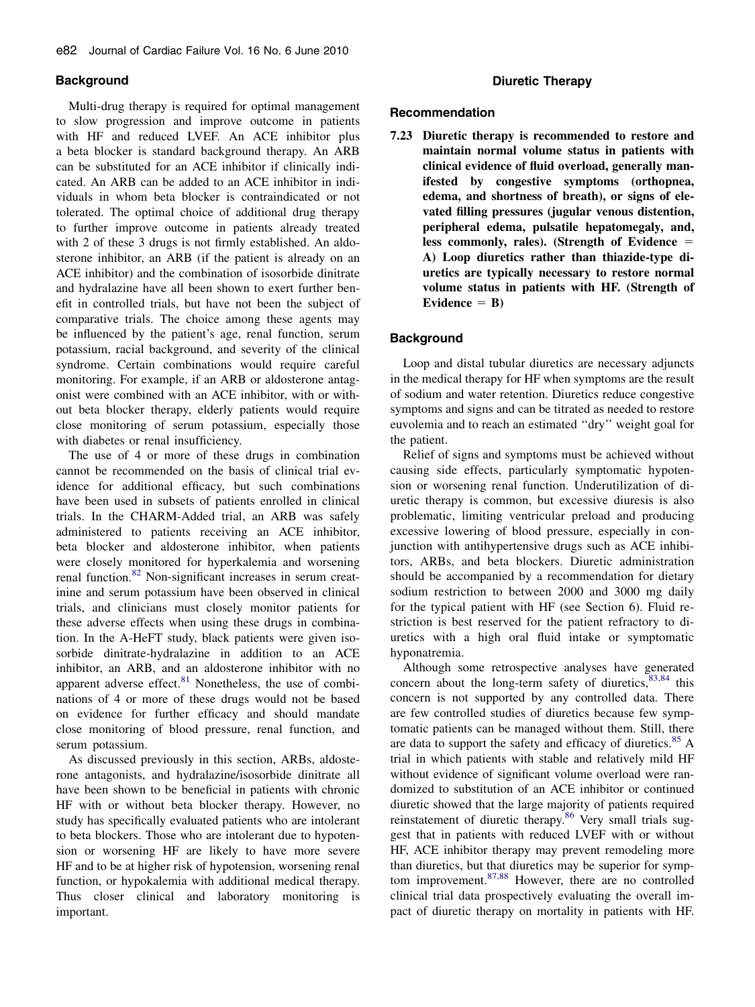### **Background**

Multi-drug therapy is required for optimal management to slow progression and improve outcome in patients with HF and reduced LVEF. An ACE inhibitor plus a beta blocker is standard background therapy. An ARB can be substituted for an ACE inhibitor if clinically indicated. An ARB can be added to an ACE inhibitor in individuals in whom beta blocker is contraindicated or not tolerated. The optimal choice of additional drug therapy to further improve outcome in patients already treated with 2 of these 3 drugs is not firmly established. An aldosterone inhibitor, an ARB (if the patient is already on an ACE inhibitor) and the combination of isosorbide dinitrate and hydralazine have all been shown to exert further benefit in controlled trials, but have not been the subject of comparative trials. The choice among these agents may be influenced by the patient's age, renal function, serum potassium, racial background, and severity of the clinical syndrome. Certain combinations would require careful monitoring. For example, if an ARB or aldosterone antagonist were combined with an ACE inhibitor, with or without beta blocker therapy, elderly patients would require close monitoring of serum potassium, especially those with diabetes or renal insufficiency.

The use of 4 or more of these drugs in combination cannot be recommended on the basis of clinical trial evidence for additional efficacy, but such combinations have been used in subsets of patients enrolled in clinical trials. In the CHARM-Added trial, an ARB was safely administered to patients receiving an ACE inhibitor, beta blocker and aldosterone inhibitor, when patients were closely monitored for hyperkalemia and worsening renal function.[82](#page-21-0) Non-significant increases in serum creatinine and serum potassium have been observed in clinical trials, and clinicians must closely monitor patients for these adverse effects when using these drugs in combination. In the A-HeFT study, black patients were given isosorbide dinitrate-hydralazine in addition to an ACE inhibitor, an ARB, and an aldosterone inhibitor with no apparent adverse effect. $81$  Nonetheless, the use of combinations of 4 or more of these drugs would not be based on evidence for further efficacy and should mandate close monitoring of blood pressure, renal function, and serum potassium.

As discussed previously in this section, ARBs, aldosterone antagonists, and hydralazine/isosorbide dinitrate all have been shown to be beneficial in patients with chronic HF with or without beta blocker therapy. However, no study has specifically evaluated patients who are intolerant to beta blockers. Those who are intolerant due to hypotension or worsening HF are likely to have more severe HF and to be at higher risk of hypotension, worsening renal function, or hypokalemia with additional medical therapy. Thus closer clinical and laboratory monitoring is important.

## Diuretic Therapy

#### Recommendation

7.23 Diuretic therapy is recommended to restore and maintain normal volume status in patients with clinical evidence of fluid overload, generally manifested by congestive symptoms (orthopnea, edema, and shortness of breath), or signs of elevated filling pressures (jugular venous distention, peripheral edema, pulsatile hepatomegaly, and, less commonly, rales). (Strength of Evidence  $=$ A) Loop diuretics rather than thiazide-type diuretics are typically necessary to restore normal volume status in patients with HF. (Strength of Evidence  $=$  B)

### **Background**

Loop and distal tubular diuretics are necessary adjuncts in the medical therapy for HF when symptoms are the result of sodium and water retention. Diuretics reduce congestive symptoms and signs and can be titrated as needed to restore euvolemia and to reach an estimated ''dry'' weight goal for the patient.

Relief of signs and symptoms must be achieved without causing side effects, particularly symptomatic hypotension or worsening renal function. Underutilization of diuretic therapy is common, but excessive diuresis is also problematic, limiting ventricular preload and producing excessive lowering of blood pressure, especially in conjunction with antihypertensive drugs such as ACE inhibitors, ARBs, and beta blockers. Diuretic administration should be accompanied by a recommendation for dietary sodium restriction to between 2000 and 3000 mg daily for the typical patient with HF (see Section 6). Fluid restriction is best reserved for the patient refractory to diuretics with a high oral fluid intake or symptomatic hyponatremia.

Although some retrospective analyses have generated concern about the long-term safety of diuretics, $83,84$  this concern is not supported by any controlled data. There are few controlled studies of diuretics because few symptomatic patients can be managed without them. Still, there are data to support the safety and efficacy of diuretics.<sup>[85](#page-21-0)</sup> A trial in which patients with stable and relatively mild HF without evidence of significant volume overload were randomized to substitution of an ACE inhibitor or continued diuretic showed that the large majority of patients required reinstatement of diuretic therapy.<sup>[86](#page-21-0)</sup> Very small trials suggest that in patients with reduced LVEF with or without HF, ACE inhibitor therapy may prevent remodeling more than diuretics, but that diuretics may be superior for symp-tom improvement.<sup>[87,88](#page-21-0)</sup> However, there are no controlled clinical trial data prospectively evaluating the overall impact of diuretic therapy on mortality in patients with HF.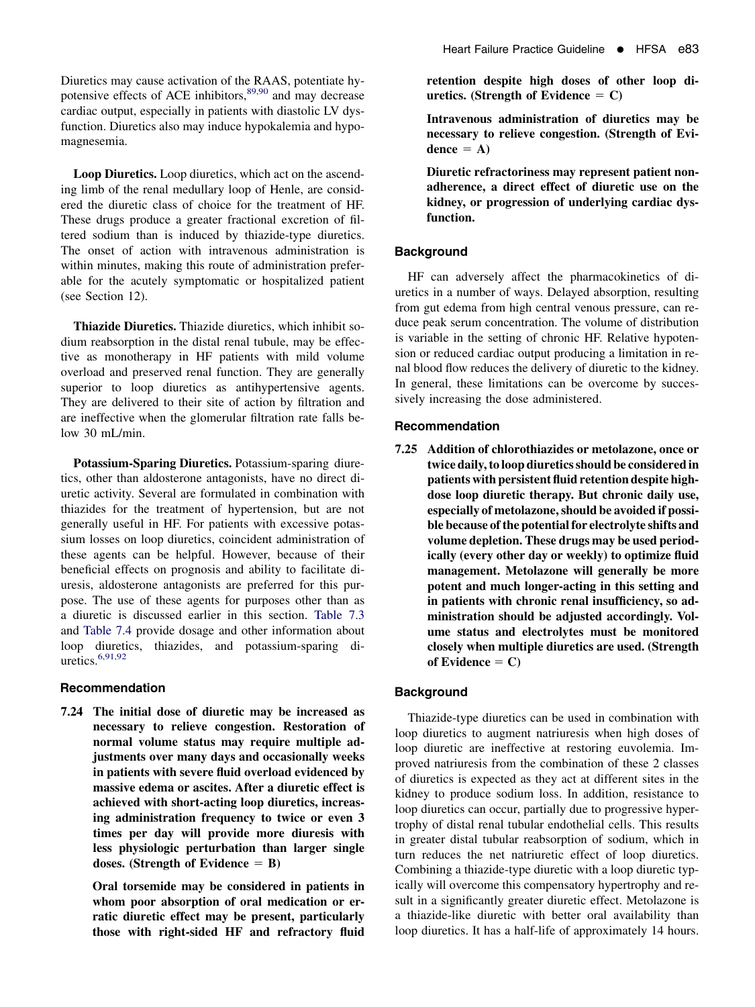Loop Diuretics. Loop diuretics, which act on the ascending limb of the renal medullary loop of Henle, are considered the diuretic class of choice for the treatment of HF. These drugs produce a greater fractional excretion of filtered sodium than is induced by thiazide-type diuretics. The onset of action with intravenous administration is within minutes, making this route of administration preferable for the acutely symptomatic or hospitalized patient (see Section 12).

Thiazide Diuretics. Thiazide diuretics, which inhibit sodium reabsorption in the distal renal tubule, may be effective as monotherapy in HF patients with mild volume overload and preserved renal function. They are generally superior to loop diuretics as antihypertensive agents. They are delivered to their site of action by filtration and are ineffective when the glomerular filtration rate falls below 30 mL/min.

Potassium-Sparing Diuretics. Potassium-sparing diuretics, other than aldosterone antagonists, have no direct diuretic activity. Several are formulated in combination with thiazides for the treatment of hypertension, but are not generally useful in HF. For patients with excessive potassium losses on loop diuretics, coincident administration of these agents can be helpful. However, because of their beneficial effects on prognosis and ability to facilitate diuresis, aldosterone antagonists are preferred for this purpose. The use of these agents for purposes other than as a diuretic is discussed earlier in this section. [Table 7.3](#page-11-0) and [Table 7.4](#page-11-0) provide dosage and other information about loop diuretics, thiazides, and potassium-sparing diuretics.[6,91,92](#page-19-0)

## Recommendation

7.24 The initial dose of diuretic may be increased as necessary to relieve congestion. Restoration of normal volume status may require multiple adjustments over many days and occasionally weeks in patients with severe fluid overload evidenced by massive edema or ascites. After a diuretic effect is achieved with short-acting loop diuretics, increasing administration frequency to twice or even 3 times per day will provide more diuresis with less physiologic perturbation than larger single doses. (Strength of Evidence  $=$  B)

> Oral torsemide may be considered in patients in whom poor absorption of oral medication or erratic diuretic effect may be present, particularly those with right-sided HF and refractory fluid

retention despite high doses of other loop diuretics. (Strength of Evidence  $= C$ )

Intravenous administration of diuretics may be necessary to relieve congestion. (Strength of Evi $dence = A$ )

Diuretic refractoriness may represent patient nonadherence, a direct effect of diuretic use on the kidney, or progression of underlying cardiac dysfunction.

## **Background**

HF can adversely affect the pharmacokinetics of diuretics in a number of ways. Delayed absorption, resulting from gut edema from high central venous pressure, can reduce peak serum concentration. The volume of distribution is variable in the setting of chronic HF. Relative hypotension or reduced cardiac output producing a limitation in renal blood flow reduces the delivery of diuretic to the kidney. In general, these limitations can be overcome by successively increasing the dose administered.

## Recommendation

7.25 Addition of chlorothiazides or metolazone, once or twice daily, to loop diuretics should be considered in patients with persistent fluid retention despite highdose loop diuretic therapy. But chronic daily use, especially of metolazone, should be avoided if possible because of the potential for electrolyte shifts and volume depletion. These drugs may be used periodically (every other day or weekly) to optimize fluid management. Metolazone will generally be more potent and much longer-acting in this setting and in patients with chronic renal insufficiency, so administration should be adjusted accordingly. Volume status and electrolytes must be monitored closely when multiple diuretics are used. (Strength of Evidence  $= C$ )

## **Background**

Thiazide-type diuretics can be used in combination with loop diuretics to augment natriuresis when high doses of loop diuretic are ineffective at restoring euvolemia. Improved natriuresis from the combination of these 2 classes of diuretics is expected as they act at different sites in the kidney to produce sodium loss. In addition, resistance to loop diuretics can occur, partially due to progressive hypertrophy of distal renal tubular endothelial cells. This results in greater distal tubular reabsorption of sodium, which in turn reduces the net natriuretic effect of loop diuretics. Combining a thiazide-type diuretic with a loop diuretic typically will overcome this compensatory hypertrophy and result in a significantly greater diuretic effect. Metolazone is a thiazide-like diuretic with better oral availability than loop diuretics. It has a half-life of approximately 14 hours.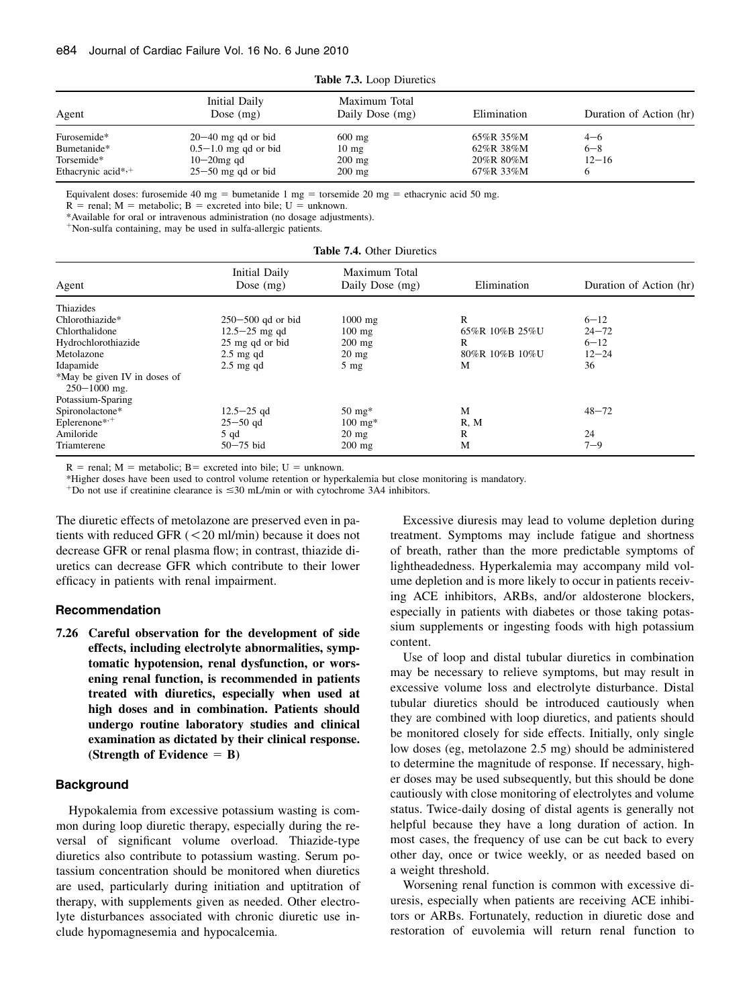<span id="page-11-0"></span>

| $\frac{1}{2}$         |                              |                                  |             |                         |  |
|-----------------------|------------------------------|----------------------------------|-------------|-------------------------|--|
| Agent                 | Initial Daily<br>Dose $(mg)$ | Maximum Total<br>Daily Dose (mg) | Elimination | Duration of Action (hr) |  |
| Furosemide*           | $20-40$ mg qd or bid         | $600$ mg                         | 65%R 35%M   | $4 - 6$                 |  |
| Bumetanide*           | $0.5-1.0$ mg qd or bid       | $10 \text{ mg}$                  | 62%R 38%M   | $6 - 8$                 |  |
| Torsemide*            | $10-20$ mg qd                | $200 \text{ mg}$                 | 20%R 80%M   | $12 - 16$               |  |
| Ethacrynic acid*, $+$ | $25 - 50$ mg qd or bid       | $200$ mg                         | 67%R 33%M   |                         |  |

Table 7.3. Loop Diuretics

Equivalent doses: furosemide 40 mg = bumetanide 1 mg = torsemide 20 mg = ethacrynic acid 50 mg.

 $R = \text{real}$ ; M = metabolic; B = excreted into bile; U = unknown.

\*Available for oral or intravenous administration (no dosage adjustments).

<sup>þ</sup>Non-sulfa containing, may be used in sulfa-allergic patients.

| <b>Table 7.4.</b> Other Diuretics                |                              |                                  |                |                         |  |  |
|--------------------------------------------------|------------------------------|----------------------------------|----------------|-------------------------|--|--|
| Agent                                            | Initial Daily<br>Dose $(mg)$ | Maximum Total<br>Daily Dose (mg) | Elimination    | Duration of Action (hr) |  |  |
| Thiazides                                        |                              |                                  |                |                         |  |  |
| Chlorothiazide*                                  | $250 - 500$ gd or bid        | $1000$ mg                        | R              | $6 - 12$                |  |  |
| Chlorthalidone                                   | $12.5 - 25$ mg qd            | $100 \text{ mg}$                 | 65%R 10%B 25%U | $24 - 72$               |  |  |
| Hydrochlorothiazide                              | 25 mg qd or bid              | $200$ mg                         | R              | $6 - 12$                |  |  |
| Metolazone                                       | $2.5 \text{ mg}$ qd          | $20 \text{ mg}$                  | 80%R 10%B 10%U | $12 - 24$               |  |  |
| Idapamide                                        | $2.5 \text{ mg}$ qd          | $5 \text{ mg}$                   | M              | 36                      |  |  |
| *May be given IV in doses of<br>$250 - 1000$ mg. |                              |                                  |                |                         |  |  |
| Potassium-Sparing                                |                              |                                  |                |                         |  |  |
| Spironolactone*                                  | $12.5 - 25$ gd               | $50 \text{ mg*}$                 | M              | $48 - 72$               |  |  |
| Eplerenone* <sup>*+</sup>                        | $25 - 50$ qd                 | $100 \; \text{mg*}$              | R, M           |                         |  |  |
| Amiloride                                        | $5$ qd                       | $20 \text{ mg}$                  | R              | 24                      |  |  |
| Triamterene                                      | $50 - 75$ bid                | $200$ mg                         | M              | $7 - 9$                 |  |  |

 $R = \text{real}$ ; M = metabolic; B= excreted into bile; U = unknown.

\*Higher doses have been used to control volume retention or hyperkalemia but close monitoring is mandatory.

 $+$ Do not use if creatinine clearance is  $\leq$ 30 mL/min or with cytochrome 3A4 inhibitors.

The diuretic effects of metolazone are preserved even in patients with reduced GFR  $(< 20$  ml/min) because it does not decrease GFR or renal plasma flow; in contrast, thiazide diuretics can decrease GFR which contribute to their lower efficacy in patients with renal impairment.

### Recommendation

7.26 Careful observation for the development of side effects, including electrolyte abnormalities, symptomatic hypotension, renal dysfunction, or worsening renal function, is recommended in patients treated with diuretics, especially when used at high doses and in combination. Patients should undergo routine laboratory studies and clinical examination as dictated by their clinical response. (Strength of Evidence  $=$  B)

### **Background**

Hypokalemia from excessive potassium wasting is common during loop diuretic therapy, especially during the reversal of significant volume overload. Thiazide-type diuretics also contribute to potassium wasting. Serum potassium concentration should be monitored when diuretics are used, particularly during initiation and uptitration of therapy, with supplements given as needed. Other electrolyte disturbances associated with chronic diuretic use include hypomagnesemia and hypocalcemia.

Excessive diuresis may lead to volume depletion during treatment. Symptoms may include fatigue and shortness of breath, rather than the more predictable symptoms of lightheadedness. Hyperkalemia may accompany mild volume depletion and is more likely to occur in patients receiving ACE inhibitors, ARBs, and/or aldosterone blockers, especially in patients with diabetes or those taking potassium supplements or ingesting foods with high potassium content.

Use of loop and distal tubular diuretics in combination may be necessary to relieve symptoms, but may result in excessive volume loss and electrolyte disturbance. Distal tubular diuretics should be introduced cautiously when they are combined with loop diuretics, and patients should be monitored closely for side effects. Initially, only single low doses (eg, metolazone 2.5 mg) should be administered to determine the magnitude of response. If necessary, higher doses may be used subsequently, but this should be done cautiously with close monitoring of electrolytes and volume status. Twice-daily dosing of distal agents is generally not helpful because they have a long duration of action. In most cases, the frequency of use can be cut back to every other day, once or twice weekly, or as needed based on a weight threshold.

Worsening renal function is common with excessive diuresis, especially when patients are receiving ACE inhibitors or ARBs. Fortunately, reduction in diuretic dose and restoration of euvolemia will return renal function to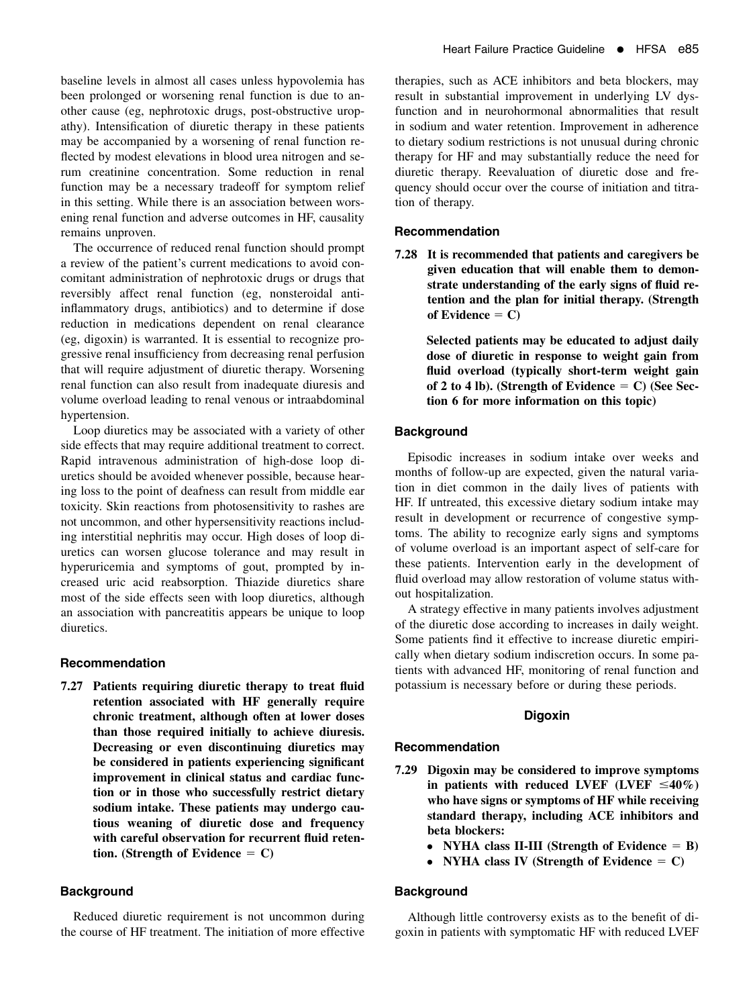baseline levels in almost all cases unless hypovolemia has been prolonged or worsening renal function is due to another cause (eg, nephrotoxic drugs, post-obstructive uropathy). Intensification of diuretic therapy in these patients may be accompanied by a worsening of renal function reflected by modest elevations in blood urea nitrogen and serum creatinine concentration. Some reduction in renal function may be a necessary tradeoff for symptom relief in this setting. While there is an association between worsening renal function and adverse outcomes in HF, causality remains unproven.

The occurrence of reduced renal function should prompt a review of the patient's current medications to avoid concomitant administration of nephrotoxic drugs or drugs that reversibly affect renal function (eg, nonsteroidal antiinflammatory drugs, antibiotics) and to determine if dose reduction in medications dependent on renal clearance (eg, digoxin) is warranted. It is essential to recognize progressive renal insufficiency from decreasing renal perfusion that will require adjustment of diuretic therapy. Worsening renal function can also result from inadequate diuresis and volume overload leading to renal venous or intraabdominal hypertension.

Loop diuretics may be associated with a variety of other side effects that may require additional treatment to correct. Rapid intravenous administration of high-dose loop diuretics should be avoided whenever possible, because hearing loss to the point of deafness can result from middle ear toxicity. Skin reactions from photosensitivity to rashes are not uncommon, and other hypersensitivity reactions including interstitial nephritis may occur. High doses of loop diuretics can worsen glucose tolerance and may result in hyperuricemia and symptoms of gout, prompted by increased uric acid reabsorption. Thiazide diuretics share most of the side effects seen with loop diuretics, although an association with pancreatitis appears be unique to loop diuretics.

## Recommendation

7.27 Patients requiring diuretic therapy to treat fluid retention associated with HF generally require chronic treatment, although often at lower doses than those required initially to achieve diuresis. Decreasing or even discontinuing diuretics may be considered in patients experiencing significant improvement in clinical status and cardiac function or in those who successfully restrict dietary sodium intake. These patients may undergo cautious weaning of diuretic dose and frequency with careful observation for recurrent fluid retention. (Strength of Evidence  $= C$ )

## **Background**

Reduced diuretic requirement is not uncommon during the course of HF treatment. The initiation of more effective therapies, such as ACE inhibitors and beta blockers, may result in substantial improvement in underlying LV dysfunction and in neurohormonal abnormalities that result in sodium and water retention. Improvement in adherence to dietary sodium restrictions is not unusual during chronic therapy for HF and may substantially reduce the need for diuretic therapy. Reevaluation of diuretic dose and frequency should occur over the course of initiation and titration of therapy.

### Recommendation

7.28 It is recommended that patients and caregivers be given education that will enable them to demonstrate understanding of the early signs of fluid retention and the plan for initial therapy. (Strength of Evidence  $= C$ )

Selected patients may be educated to adjust daily dose of diuretic in response to weight gain from fluid overload (typically short-term weight gain of 2 to 4 lb). (Strength of Evidence  $= C$ ) (See Section 6 for more information on this topic)

### **Background**

Episodic increases in sodium intake over weeks and months of follow-up are expected, given the natural variation in diet common in the daily lives of patients with HF. If untreated, this excessive dietary sodium intake may result in development or recurrence of congestive symptoms. The ability to recognize early signs and symptoms of volume overload is an important aspect of self-care for these patients. Intervention early in the development of fluid overload may allow restoration of volume status without hospitalization.

A strategy effective in many patients involves adjustment of the diuretic dose according to increases in daily weight. Some patients find it effective to increase diuretic empirically when dietary sodium indiscretion occurs. In some patients with advanced HF, monitoring of renal function and potassium is necessary before or during these periods.

### Digoxin

#### Recommendation

- 7.29 Digoxin may be considered to improve symptoms in patients with reduced LVEF (LVEF  $\leq 40\%$ ) who have signs or symptoms of HF while receiving standard therapy, including ACE inhibitors and beta blockers:
	- NYHA class II-III (Strength of Evidence  $=$  B)
	- NYHA class IV (Strength of Evidence  $= C$ )

#### **Background**

Although little controversy exists as to the benefit of digoxin in patients with symptomatic HF with reduced LVEF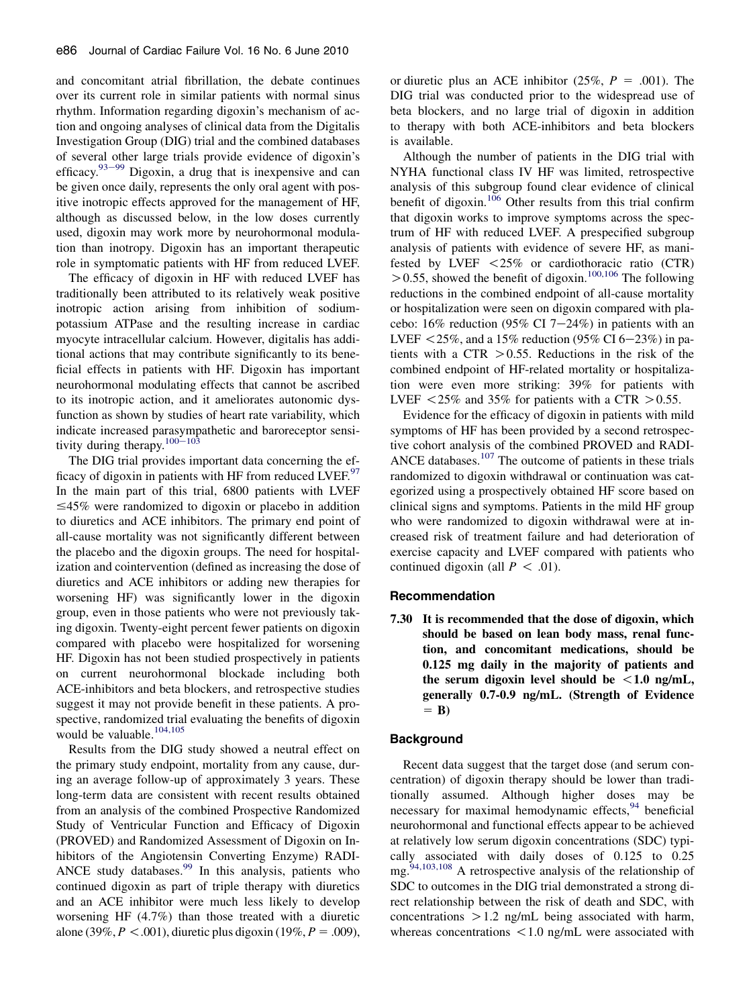and concomitant atrial fibrillation, the debate continues over its current role in similar patients with normal sinus rhythm. Information regarding digoxin's mechanism of action and ongoing analyses of clinical data from the Digitalis Investigation Group (DIG) trial and the combined databases of several other large trials provide evidence of digoxin's efficacy. $93-99$  $93-99$  Digoxin, a drug that is inexpensive and can be given once daily, represents the only oral agent with positive inotropic effects approved for the management of HF, although as discussed below, in the low doses currently used, digoxin may work more by neurohormonal modulation than inotropy. Digoxin has an important therapeutic role in symptomatic patients with HF from reduced LVEF.

The efficacy of digoxin in HF with reduced LVEF has traditionally been attributed to its relatively weak positive inotropic action arising from inhibition of sodiumpotassium ATPase and the resulting increase in cardiac myocyte intracellular calcium. However, digitalis has additional actions that may contribute significantly to its beneficial effects in patients with HF. Digoxin has important neurohormonal modulating effects that cannot be ascribed to its inotropic action, and it ameliorates autonomic dysfunction as shown by studies of heart rate variability, which indicate increased parasympathetic and baroreceptor sensitivity during therapy. $100-103$  $100-103$ 

The DIG trial provides important data concerning the ef-ficacy of digoxin in patients with HF from reduced LVEF.<sup>[97](#page-22-0)</sup> In the main part of this trial, 6800 patients with LVEF  $\leq 45\%$  were randomized to digoxin or placebo in addition to diuretics and ACE inhibitors. The primary end point of all-cause mortality was not significantly different between the placebo and the digoxin groups. The need for hospitalization and cointervention (defined as increasing the dose of diuretics and ACE inhibitors or adding new therapies for worsening HF) was significantly lower in the digoxin group, even in those patients who were not previously taking digoxin. Twenty-eight percent fewer patients on digoxin compared with placebo were hospitalized for worsening HF. Digoxin has not been studied prospectively in patients on current neurohormonal blockade including both ACE-inhibitors and beta blockers, and retrospective studies suggest it may not provide benefit in these patients. A prospective, randomized trial evaluating the benefits of digoxin would be valuable.<sup>[104,105](#page-22-0)</sup>

Results from the DIG study showed a neutral effect on the primary study endpoint, mortality from any cause, during an average follow-up of approximately 3 years. These long-term data are consistent with recent results obtained from an analysis of the combined Prospective Randomized Study of Ventricular Function and Efficacy of Digoxin (PROVED) and Randomized Assessment of Digoxin on Inhibitors of the Angiotensin Converting Enzyme) RADI-ANCE study databases.<sup>[99](#page-22-0)</sup> In this analysis, patients who continued digoxin as part of triple therapy with diuretics and an ACE inhibitor were much less likely to develop worsening HF (4.7%) than those treated with a diuretic alone (39%,  $P < .001$ ), diuretic plus digoxin (19%,  $P = .009$ ),

or diuretic plus an ACE inhibitor (25%,  $P = .001$ ). The DIG trial was conducted prior to the widespread use of beta blockers, and no large trial of digoxin in addition to therapy with both ACE-inhibitors and beta blockers is available.

Although the number of patients in the DIG trial with NYHA functional class IV HF was limited, retrospective analysis of this subgroup found clear evidence of clinical benefit of digoxin.<sup>[106](#page-22-0)</sup> Other results from this trial confirm that digoxin works to improve symptoms across the spectrum of HF with reduced LVEF. A prespecified subgroup analysis of patients with evidence of severe HF, as manifested by LVEF  $\langle 25\% \rangle$  or cardiothoracic ratio (CTR)  $> 0.55$ , showed the benefit of digoxin.<sup>[100,106](#page-22-0)</sup> The following reductions in the combined endpoint of all-cause mortality or hospitalization were seen on digoxin compared with placebo: 16% reduction (95% CI 7–24%) in patients with an LVEF  $\langle 25\%$ , and a 15% reduction (95% CI 6–23%) in patients with a CTR  $> 0.55$ . Reductions in the risk of the combined endpoint of HF-related mortality or hospitalization were even more striking: 39% for patients with LVEF  $\langle 25\% \rangle$  and 35% for patients with a CTR  $> 0.55$ .

Evidence for the efficacy of digoxin in patients with mild symptoms of HF has been provided by a second retrospective cohort analysis of the combined PROVED and RADI-ANCE databases. $107$  The outcome of patients in these trials randomized to digoxin withdrawal or continuation was categorized using a prospectively obtained HF score based on clinical signs and symptoms. Patients in the mild HF group who were randomized to digoxin withdrawal were at increased risk of treatment failure and had deterioration of exercise capacity and LVEF compared with patients who continued digoxin (all  $P < .01$ ).

### Recommendation

7.30 It is recommended that the dose of digoxin, which should be based on lean body mass, renal function, and concomitant medications, should be 0.125 mg daily in the majority of patients and the serum digoxin level should be  $\langle 1.0 \text{ ng/mL}$ , generally 0.7-0.9 ng/mL. (Strength of Evidence  $=$  B)

### **Background**

Recent data suggest that the target dose (and serum concentration) of digoxin therapy should be lower than traditionally assumed. Although higher doses may be necessary for maximal hemodynamic effects,<sup>[94](#page-21-0)</sup> beneficial neurohormonal and functional effects appear to be achieved at relatively low serum digoxin concentrations (SDC) typically associated with daily doses of 0.125 to 0.25 mg.<sup>[94,103,108](#page-21-0)</sup> A retrospective analysis of the relationship of SDC to outcomes in the DIG trial demonstrated a strong direct relationship between the risk of death and SDC, with concentrations  $> 1.2$  ng/mL being associated with harm, whereas concentrations  $\langle 1.0 \text{ ng/mL} \rangle$  were associated with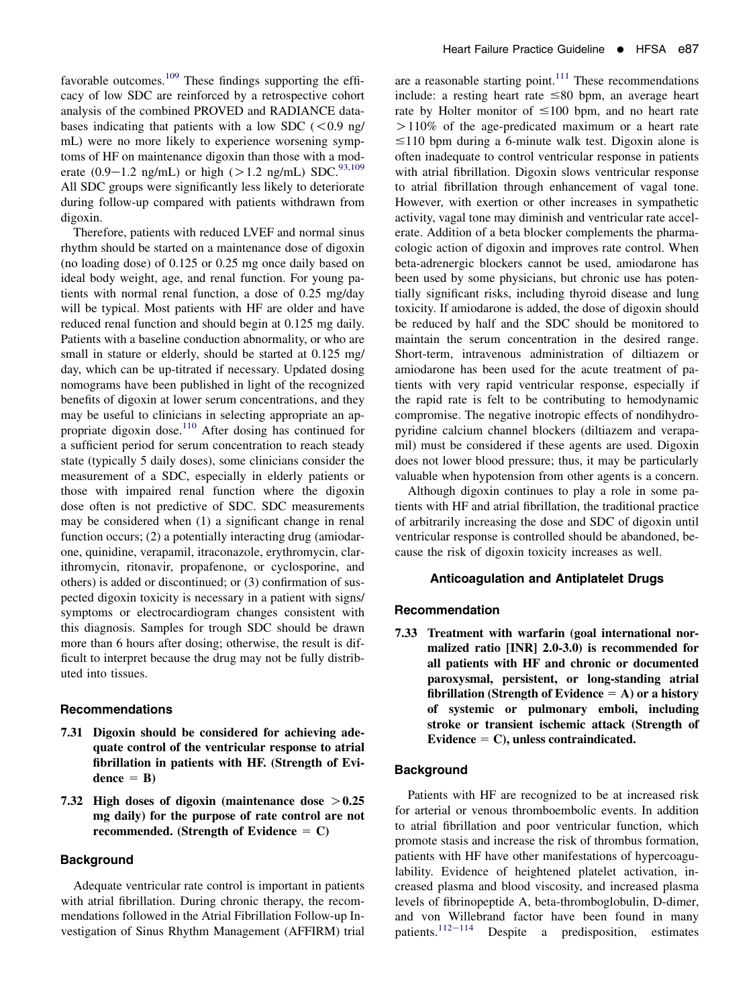favorable outcomes.<sup>[109](#page-22-0)</sup> These findings supporting the efficacy of low SDC are reinforced by a retrospective cohort analysis of the combined PROVED and RADIANCE databases indicating that patients with a low SDC  $\left($  < 0.9 ng/ mL) were no more likely to experience worsening symptoms of HF on maintenance digoxin than those with a moderate (0.9–1.2 ng/mL) or high ( $>1.2$  ng/mL) SDC.<sup>[93,109](#page-21-0)</sup> All SDC groups were significantly less likely to deteriorate during follow-up compared with patients withdrawn from digoxin.

Therefore, patients with reduced LVEF and normal sinus rhythm should be started on a maintenance dose of digoxin (no loading dose) of 0.125 or 0.25 mg once daily based on ideal body weight, age, and renal function. For young patients with normal renal function, a dose of 0.25 mg/day will be typical. Most patients with HF are older and have reduced renal function and should begin at 0.125 mg daily. Patients with a baseline conduction abnormality, or who are small in stature or elderly, should be started at 0.125 mg/ day, which can be up-titrated if necessary. Updated dosing nomograms have been published in light of the recognized benefits of digoxin at lower serum concentrations, and they may be useful to clinicians in selecting appropriate an appropriate digoxin dose.[110](#page-22-0) After dosing has continued for a sufficient period for serum concentration to reach steady state (typically 5 daily doses), some clinicians consider the measurement of a SDC, especially in elderly patients or those with impaired renal function where the digoxin dose often is not predictive of SDC. SDC measurements may be considered when (1) a significant change in renal function occurs; (2) a potentially interacting drug (amiodarone, quinidine, verapamil, itraconazole, erythromycin, clarithromycin, ritonavir, propafenone, or cyclosporine, and others) is added or discontinued; or (3) confirmation of suspected digoxin toxicity is necessary in a patient with signs/ symptoms or electrocardiogram changes consistent with this diagnosis. Samples for trough SDC should be drawn more than 6 hours after dosing; otherwise, the result is difficult to interpret because the drug may not be fully distributed into tissues.

#### Recommendations

- 7.31 Digoxin should be considered for achieving adequate control of the ventricular response to atrial fibrillation in patients with HF. (Strength of Evi $dence = B$ )
- 7.32 High doses of digoxin (maintenance dose  $>0.25$ mg daily) for the purpose of rate control are not recommended. (Strength of Evidence  $= C$ )

### Background

Adequate ventricular rate control is important in patients with atrial fibrillation. During chronic therapy, the recommendations followed in the Atrial Fibrillation Follow-up Investigation of Sinus Rhythm Management (AFFIRM) trial are a reasonable starting point.<sup>[111](#page-22-0)</sup> These recommendations include: a resting heart rate  $\leq 80$  bpm, an average heart rate by Holter monitor of  $\leq 100$  bpm, and no heart rate  $>110\%$  of the age-predicated maximum or a heart rate  $\leq$ 110 bpm during a 6-minute walk test. Digoxin alone is often inadequate to control ventricular response in patients with atrial fibrillation. Digoxin slows ventricular response to atrial fibrillation through enhancement of vagal tone. However, with exertion or other increases in sympathetic activity, vagal tone may diminish and ventricular rate accelerate. Addition of a beta blocker complements the pharmacologic action of digoxin and improves rate control. When beta-adrenergic blockers cannot be used, amiodarone has been used by some physicians, but chronic use has potentially significant risks, including thyroid disease and lung toxicity. If amiodarone is added, the dose of digoxin should be reduced by half and the SDC should be monitored to maintain the serum concentration in the desired range. Short-term, intravenous administration of diltiazem or amiodarone has been used for the acute treatment of patients with very rapid ventricular response, especially if the rapid rate is felt to be contributing to hemodynamic compromise. The negative inotropic effects of nondihydropyridine calcium channel blockers (diltiazem and verapamil) must be considered if these agents are used. Digoxin does not lower blood pressure; thus, it may be particularly valuable when hypotension from other agents is a concern.

Although digoxin continues to play a role in some patients with HF and atrial fibrillation, the traditional practice of arbitrarily increasing the dose and SDC of digoxin until ventricular response is controlled should be abandoned, because the risk of digoxin toxicity increases as well.

### Anticoagulation and Antiplatelet Drugs

#### Recommendation

7.33 Treatment with warfarin (goal international normalized ratio [INR] 2.0-3.0) is recommended for all patients with HF and chronic or documented paroxysmal, persistent, or long-standing atrial fibrillation (Strength of Evidence  $= A$ ) or a history of systemic or pulmonary emboli, including stroke or transient ischemic attack (Strength of Evidence  $= C$ ), unless contraindicated.

#### **Background**

Patients with HF are recognized to be at increased risk for arterial or venous thromboembolic events. In addition to atrial fibrillation and poor ventricular function, which promote stasis and increase the risk of thrombus formation, patients with HF have other manifestations of hypercoagulability. Evidence of heightened platelet activation, increased plasma and blood viscosity, and increased plasma levels of fibrinopeptide A, beta-thromboglobulin, D-dimer, and von Willebrand factor have been found in many patients.<sup>112–[114](#page-22-0)</sup> Despite a predisposition, estimates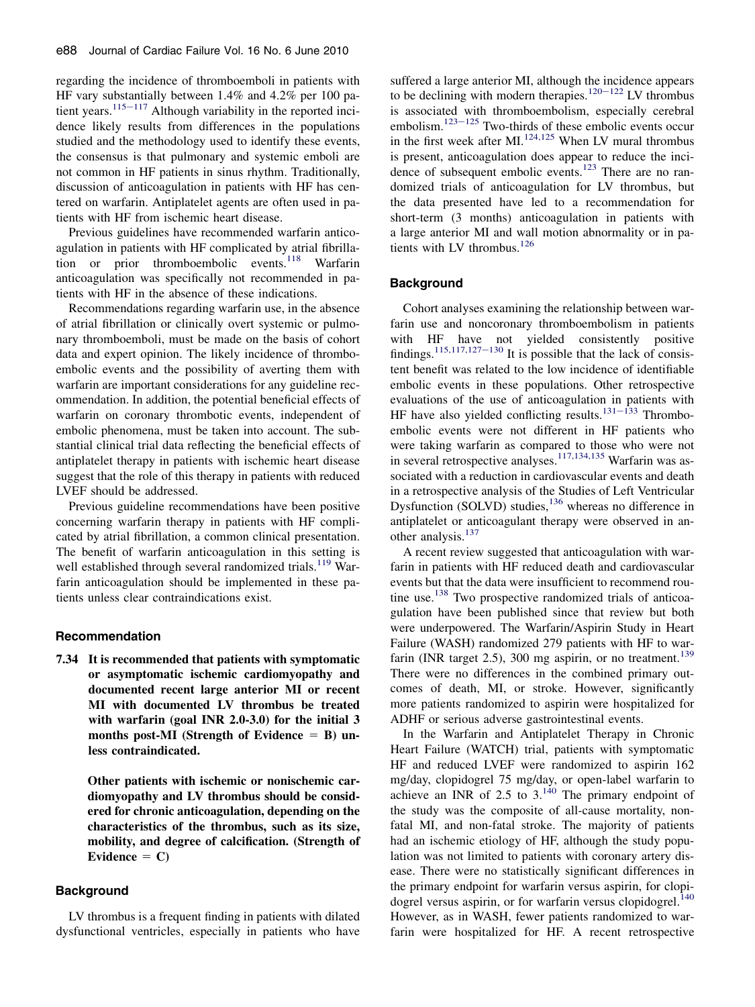regarding the incidence of thromboemboli in patients with HF vary substantially between 1.4% and 4.2% per 100 pa-tient years.<sup>[115](#page-22-0)–117</sup> Although variability in the reported incidence likely results from differences in the populations studied and the methodology used to identify these events, the consensus is that pulmonary and systemic emboli are not common in HF patients in sinus rhythm. Traditionally, discussion of anticoagulation in patients with HF has centered on warfarin. Antiplatelet agents are often used in patients with HF from ischemic heart disease.

Previous guidelines have recommended warfarin anticoagulation in patients with HF complicated by atrial fibrilla-tion or prior thromboembolic events.<sup>[118](#page-22-0)</sup> Warfarin anticoagulation was specifically not recommended in patients with HF in the absence of these indications.

Recommendations regarding warfarin use, in the absence of atrial fibrillation or clinically overt systemic or pulmonary thromboemboli, must be made on the basis of cohort data and expert opinion. The likely incidence of thromboembolic events and the possibility of averting them with warfarin are important considerations for any guideline recommendation. In addition, the potential beneficial effects of warfarin on coronary thrombotic events, independent of embolic phenomena, must be taken into account. The substantial clinical trial data reflecting the beneficial effects of antiplatelet therapy in patients with ischemic heart disease suggest that the role of this therapy in patients with reduced LVEF should be addressed.

Previous guideline recommendations have been positive concerning warfarin therapy in patients with HF complicated by atrial fibrillation, a common clinical presentation. The benefit of warfarin anticoagulation in this setting is well established through several randomized trials.<sup>[119](#page-22-0)</sup> Warfarin anticoagulation should be implemented in these patients unless clear contraindications exist.

# Recommendation

7.34 It is recommended that patients with symptomatic or asymptomatic ischemic cardiomyopathy and documented recent large anterior MI or recent MI with documented LV thrombus be treated with warfarin (goal INR 2.0-3.0) for the initial 3 months post-MI (Strength of Evidence  $=$  B) unless contraindicated.

> Other patients with ischemic or nonischemic cardiomyopathy and LV thrombus should be considered for chronic anticoagulation, depending on the characteristics of the thrombus, such as its size, mobility, and degree of calcification. (Strength of Evidence  $= C$ )

#### Background

LV thrombus is a frequent finding in patients with dilated dysfunctional ventricles, especially in patients who have suffered a large anterior MI, although the incidence appears to be declining with modern therapies.<sup>120–[122](#page-22-0)</sup> LV thrombus is associated with thromboembolism, especially cerebral embolism. $123-125$  $123-125$  Two-thirds of these embolic events occur in the first week after MI. $124,125$  When LV mural thrombus is present, anticoagulation does appear to reduce the incidence of subsequent embolic events.<sup>123</sup> There are no randomized trials of anticoagulation for LV thrombus, but the data presented have led to a recommendation for short-term (3 months) anticoagulation in patients with a large anterior MI and wall motion abnormality or in patients with LV thrombus.<sup>126</sup>

#### **Background**

Cohort analyses examining the relationship between warfarin use and noncoronary thromboembolism in patients with HF have not yielded consistently positive findings.<sup>[115,117,127](#page-22-0)–130</sup> It is possible that the lack of consistent benefit was related to the low incidence of identifiable embolic events in these populations. Other retrospective evaluations of the use of anticoagulation in patients with HF have also yielded conflicting results.<sup>131–[133](#page-22-0)</sup> Thromboembolic events were not different in HF patients who were taking warfarin as compared to those who were not in several retrospective analyses.<sup>[117,134,135](#page-22-0)</sup> Warfarin was associated with a reduction in cardiovascular events and death in a retrospective analysis of the Studies of Left Ventricular Dysfunction (SOLVD) studies,<sup>[136](#page-23-0)</sup> whereas no difference in antiplatelet or anticoagulant therapy were observed in an-other analysis.<sup>[137](#page-23-0)</sup>

A recent review suggested that anticoagulation with warfarin in patients with HF reduced death and cardiovascular events but that the data were insufficient to recommend rou-tine use.<sup>[138](#page-23-0)</sup> Two prospective randomized trials of anticoagulation have been published since that review but both were underpowered. The Warfarin/Aspirin Study in Heart Failure (WASH) randomized 279 patients with HF to war-farin (INR target 2.5), 300 mg aspirin, or no treatment.<sup>[139](#page-23-0)</sup> There were no differences in the combined primary outcomes of death, MI, or stroke. However, significantly more patients randomized to aspirin were hospitalized for ADHF or serious adverse gastrointestinal events.

In the Warfarin and Antiplatelet Therapy in Chronic Heart Failure (WATCH) trial, patients with symptomatic HF and reduced LVEF were randomized to aspirin 162 mg/day, clopidogrel 75 mg/day, or open-label warfarin to achieve an INR of 2.5 to  $3.140$  $3.140$  The primary endpoint of the study was the composite of all-cause mortality, nonfatal MI, and non-fatal stroke. The majority of patients had an ischemic etiology of HF, although the study population was not limited to patients with coronary artery disease. There were no statistically significant differences in the primary endpoint for warfarin versus aspirin, for clopi-dogrel versus aspirin, or for warfarin versus clopidogrel.<sup>[140](#page-23-0)</sup> However, as in WASH, fewer patients randomized to warfarin were hospitalized for HF. A recent retrospective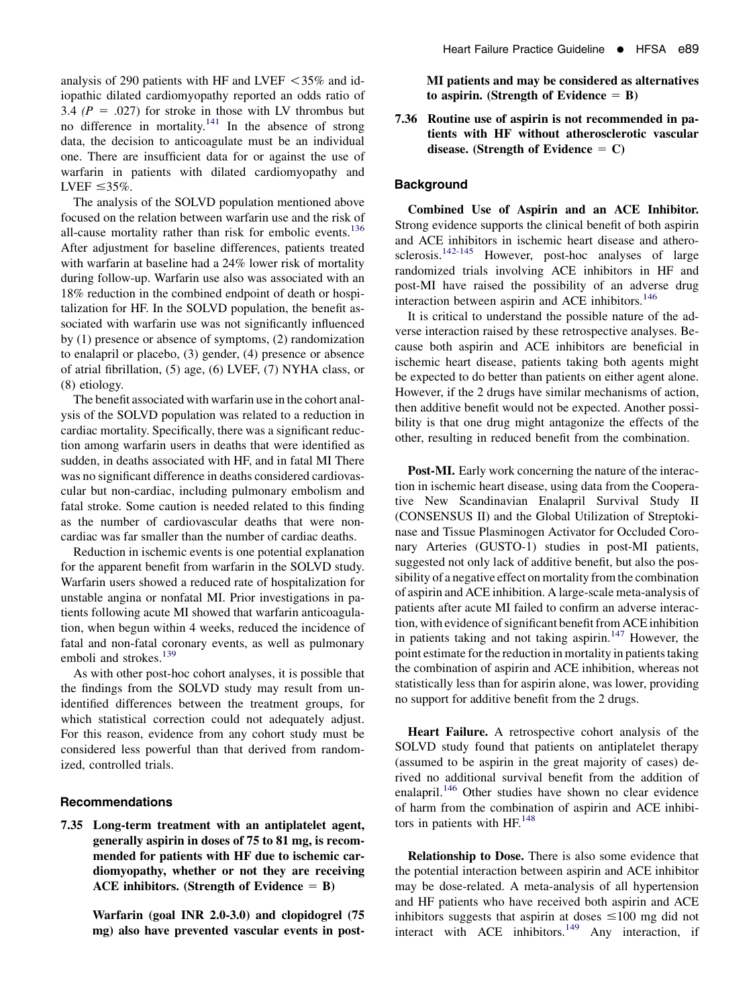analysis of 290 patients with HF and LVEF  $\lt 35\%$  and idiopathic dilated cardiomyopathy reported an odds ratio of 3.4 ( $P = .027$ ) for stroke in those with LV thrombus but no difference in mortality.[141](#page-23-0) In the absence of strong data, the decision to anticoagulate must be an individual one. There are insufficient data for or against the use of warfarin in patients with dilated cardiomyopathy and LVEF  $\leq 35\%$ .

The analysis of the SOLVD population mentioned above focused on the relation between warfarin use and the risk of all-cause mortality rather than risk for embolic events. $136$ After adjustment for baseline differences, patients treated with warfarin at baseline had a 24% lower risk of mortality during follow-up. Warfarin use also was associated with an 18% reduction in the combined endpoint of death or hospitalization for HF. In the SOLVD population, the benefit associated with warfarin use was not significantly influenced by (1) presence or absence of symptoms, (2) randomization to enalapril or placebo, (3) gender, (4) presence or absence of atrial fibrillation, (5) age, (6) LVEF, (7) NYHA class, or (8) etiology.

The benefit associated with warfarin use in the cohort analysis of the SOLVD population was related to a reduction in cardiac mortality. Specifically, there was a significant reduction among warfarin users in deaths that were identified as sudden, in deaths associated with HF, and in fatal MI There was no significant difference in deaths considered cardiovascular but non-cardiac, including pulmonary embolism and fatal stroke. Some caution is needed related to this finding as the number of cardiovascular deaths that were noncardiac was far smaller than the number of cardiac deaths.

Reduction in ischemic events is one potential explanation for the apparent benefit from warfarin in the SOLVD study. Warfarin users showed a reduced rate of hospitalization for unstable angina or nonfatal MI. Prior investigations in patients following acute MI showed that warfarin anticoagulation, when begun within 4 weeks, reduced the incidence of fatal and non-fatal coronary events, as well as pulmonary emboli and strokes.<sup>[139](#page-23-0)</sup>

As with other post-hoc cohort analyses, it is possible that the findings from the SOLVD study may result from unidentified differences between the treatment groups, for which statistical correction could not adequately adjust. For this reason, evidence from any cohort study must be considered less powerful than that derived from randomized, controlled trials.

### Recommendations

7.35 Long-term treatment with an antiplatelet agent, generally aspirin in doses of 75 to 81 mg, is recommended for patients with HF due to ischemic cardiomyopathy, whether or not they are receiving ACE inhibitors. (Strength of Evidence  $=$  B)

> Warfarin (goal INR 2.0-3.0) and clopidogrel (75 mg) also have prevented vascular events in post

MI patients and may be considered as alternatives to aspirin. (Strength of Evidence  $=$  B)

7.36 Routine use of aspirin is not recommended in patients with HF without atherosclerotic vascular disease. (Strength of Evidence  $= C$ )

#### **Background**

Combined Use of Aspirin and an ACE Inhibitor. Strong evidence supports the clinical benefit of both aspirin and ACE inhibitors in ischemic heart disease and athero-sclerosis.<sup>[142-145](#page-23-0)</sup> However, post-hoc analyses of large randomized trials involving ACE inhibitors in HF and post-MI have raised the possibility of an adverse drug interaction between aspirin and ACE inhibitors.<sup>[146](#page-23-0)</sup>

It is critical to understand the possible nature of the adverse interaction raised by these retrospective analyses. Because both aspirin and ACE inhibitors are beneficial in ischemic heart disease, patients taking both agents might be expected to do better than patients on either agent alone. However, if the 2 drugs have similar mechanisms of action, then additive benefit would not be expected. Another possibility is that one drug might antagonize the effects of the other, resulting in reduced benefit from the combination.

Post-MI. Early work concerning the nature of the interaction in ischemic heart disease, using data from the Cooperative New Scandinavian Enalapril Survival Study II (CONSENSUS II) and the Global Utilization of Streptokinase and Tissue Plasminogen Activator for Occluded Coronary Arteries (GUSTO-1) studies in post-MI patients, suggested not only lack of additive benefit, but also the possibility of a negative effect on mortality from the combination of aspirin and ACE inhibition. A large-scale meta-analysis of patients after acute MI failed to confirm an adverse interaction, with evidence of significant benefit from ACE inhibition in patients taking and not taking aspirin.<sup>[147](#page-23-0)</sup> However, the point estimate for the reduction in mortality in patients taking the combination of aspirin and ACE inhibition, whereas not statistically less than for aspirin alone, was lower, providing no support for additive benefit from the 2 drugs.

Heart Failure. A retrospective cohort analysis of the SOLVD study found that patients on antiplatelet therapy (assumed to be aspirin in the great majority of cases) derived no additional survival benefit from the addition of enalapril.<sup>[146](#page-23-0)</sup> Other studies have shown no clear evidence of harm from the combination of aspirin and ACE inhibitors in patients with  $HF^{148}$  $HF^{148}$  $HF^{148}$ 

Relationship to Dose. There is also some evidence that the potential interaction between aspirin and ACE inhibitor may be dose-related. A meta-analysis of all hypertension and HF patients who have received both aspirin and ACE inhibitors suggests that aspirin at doses  $\leq 100$  mg did not interact with ACE inhibitors.<sup>[149](#page-23-0)</sup> Any interaction, if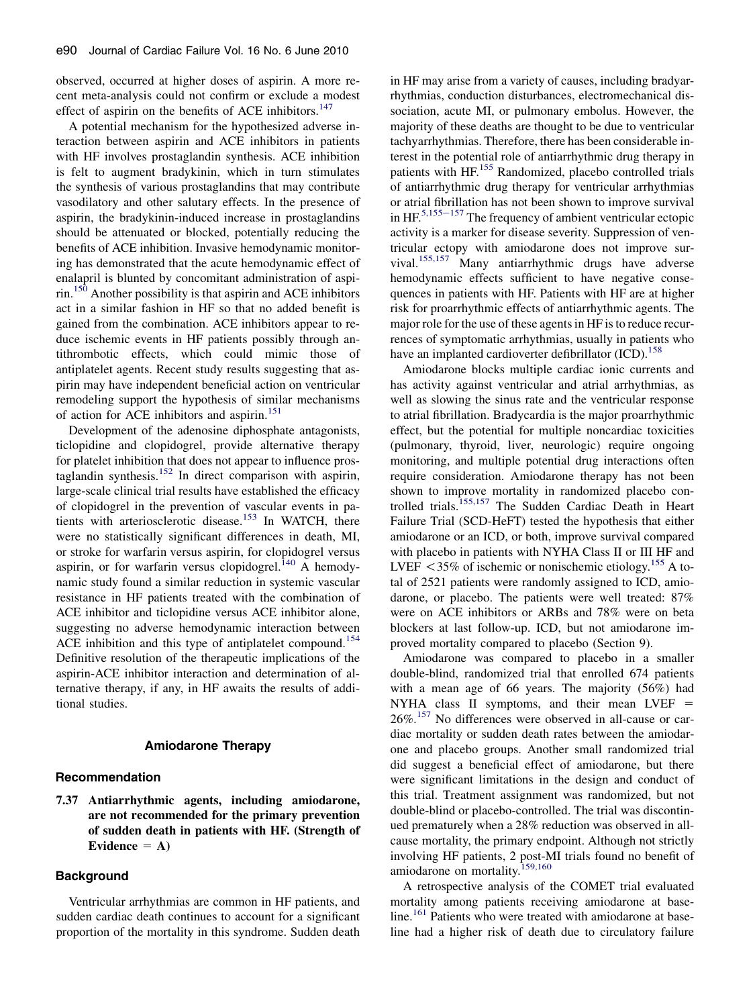observed, occurred at higher doses of aspirin. A more recent meta-analysis could not confirm or exclude a modest effect of aspirin on the benefits of ACE inhibitors.<sup>[147](#page-23-0)</sup>

A potential mechanism for the hypothesized adverse interaction between aspirin and ACE inhibitors in patients with HF involves prostaglandin synthesis. ACE inhibition is felt to augment bradykinin, which in turn stimulates the synthesis of various prostaglandins that may contribute vasodilatory and other salutary effects. In the presence of aspirin, the bradykinin-induced increase in prostaglandins should be attenuated or blocked, potentially reducing the benefits of ACE inhibition. Invasive hemodynamic monitoring has demonstrated that the acute hemodynamic effect of enalapril is blunted by concomitant administration of aspi- $\text{rin.}^{150}$  $\text{rin.}^{150}$  $\text{rin.}^{150}$  Another possibility is that aspirin and ACE inhibitors act in a similar fashion in HF so that no added benefit is gained from the combination. ACE inhibitors appear to reduce ischemic events in HF patients possibly through antithrombotic effects, which could mimic those of antiplatelet agents. Recent study results suggesting that aspirin may have independent beneficial action on ventricular remodeling support the hypothesis of similar mechanisms of action for ACE inhibitors and aspirin.<sup>[151](#page-23-0)</sup>

Development of the adenosine diphosphate antagonists, ticlopidine and clopidogrel, provide alternative therapy for platelet inhibition that does not appear to influence prostaglandin synthesis.[152](#page-23-0) In direct comparison with aspirin, large-scale clinical trial results have established the efficacy of clopidogrel in the prevention of vascular events in pa-tients with arteriosclerotic disease.<sup>[153](#page-23-0)</sup> In WATCH, there were no statistically significant differences in death, MI, or stroke for warfarin versus aspirin, for clopidogrel versus aspirin, or for warfarin versus clopidogrel. $140$  A hemodynamic study found a similar reduction in systemic vascular resistance in HF patients treated with the combination of ACE inhibitor and ticlopidine versus ACE inhibitor alone, suggesting no adverse hemodynamic interaction between ACE inhibition and this type of antiplatelet compound.<sup>[154](#page-23-0)</sup> Definitive resolution of the therapeutic implications of the aspirin-ACE inhibitor interaction and determination of alternative therapy, if any, in HF awaits the results of additional studies.

### Amiodarone Therapy

#### Recommendation

# 7.37 Antiarrhythmic agents, including amiodarone, are not recommended for the primary prevention of sudden death in patients with HF. (Strength of Evidence  $= A$ )

## **Background**

Ventricular arrhythmias are common in HF patients, and sudden cardiac death continues to account for a significant proportion of the mortality in this syndrome. Sudden death

in HF may arise from a variety of causes, including bradyarrhythmias, conduction disturbances, electromechanical dissociation, acute MI, or pulmonary embolus. However, the majority of these deaths are thought to be due to ventricular tachyarrhythmias. Therefore, there has been considerable interest in the potential role of antiarrhythmic drug therapy in patients with HF.<sup>[155](#page-23-0)</sup> Randomized, placebo controlled trials of antiarrhythmic drug therapy for ventricular arrhythmias or atrial fibrillation has not been shown to improve survival in HF.<sup>5,155–157</sup> The frequency of ambient ventricular ectopic activity is a marker for disease severity. Suppression of ventricular ectopy with amiodarone does not improve survival.[155,157](#page-23-0) Many antiarrhythmic drugs have adverse hemodynamic effects sufficient to have negative consequences in patients with HF. Patients with HF are at higher risk for proarrhythmic effects of antiarrhythmic agents. The major role for the use of these agents in HF is to reduce recurrences of symptomatic arrhythmias, usually in patients who have an implanted cardioverter defibrillator (ICD).<sup>[158](#page-23-0)</sup>

Amiodarone blocks multiple cardiac ionic currents and has activity against ventricular and atrial arrhythmias, as well as slowing the sinus rate and the ventricular response to atrial fibrillation. Bradycardia is the major proarrhythmic effect, but the potential for multiple noncardiac toxicities (pulmonary, thyroid, liver, neurologic) require ongoing monitoring, and multiple potential drug interactions often require consideration. Amiodarone therapy has not been shown to improve mortality in randomized placebo con-trolled trials.<sup>[155,157](#page-23-0)</sup> The Sudden Cardiac Death in Heart Failure Trial (SCD-HeFT) tested the hypothesis that either amiodarone or an ICD, or both, improve survival compared with placebo in patients with NYHA Class II or III HF and LVEF  $\langle 35\%$  of ischemic or nonischemic etiology.<sup>[155](#page-23-0)</sup> A total of 2521 patients were randomly assigned to ICD, amiodarone, or placebo. The patients were well treated: 87% were on ACE inhibitors or ARBs and 78% were on beta blockers at last follow-up. ICD, but not amiodarone improved mortality compared to placebo (Section 9).

Amiodarone was compared to placebo in a smaller double-blind, randomized trial that enrolled 674 patients with a mean age of 66 years. The majority (56%) had NYHA class II symptoms, and their mean LVEF  $=$ 26%.[157](#page-23-0) No differences were observed in all-cause or cardiac mortality or sudden death rates between the amiodarone and placebo groups. Another small randomized trial did suggest a beneficial effect of amiodarone, but there were significant limitations in the design and conduct of this trial. Treatment assignment was randomized, but not double-blind or placebo-controlled. The trial was discontinued prematurely when a 28% reduction was observed in allcause mortality, the primary endpoint. Although not strictly involving HF patients, 2 post-MI trials found no benefit of amiodarone on mortality.<sup>[159,160](#page-23-0)</sup>

A retrospective analysis of the COMET trial evaluated mortality among patients receiving amiodarone at base-line.<sup>[161](#page-23-0)</sup> Patients who were treated with amiodarone at baseline had a higher risk of death due to circulatory failure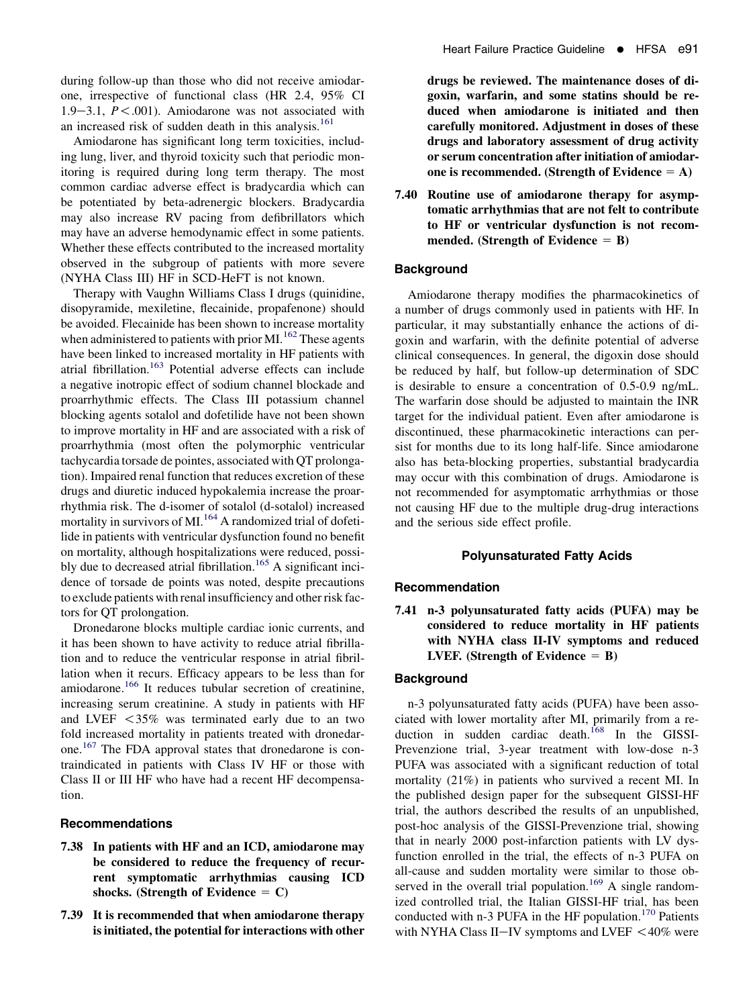during follow-up than those who did not receive amiodarone, irrespective of functional class (HR 2.4, 95% CI 1.9-3.1,  $P < .001$ ). Amiodarone was not associated with an increased risk of sudden death in this analysis.<sup>[161](#page-23-0)</sup>

Amiodarone has significant long term toxicities, including lung, liver, and thyroid toxicity such that periodic monitoring is required during long term therapy. The most common cardiac adverse effect is bradycardia which can be potentiated by beta-adrenergic blockers. Bradycardia may also increase RV pacing from defibrillators which may have an adverse hemodynamic effect in some patients. Whether these effects contributed to the increased mortality observed in the subgroup of patients with more severe (NYHA Class III) HF in SCD-HeFT is not known.

Therapy with Vaughn Williams Class I drugs (quinidine, disopyramide, mexiletine, flecainide, propafenone) should be avoided. Flecainide has been shown to increase mortality when administered to patients with prior MI.<sup>[162](#page-23-0)</sup> These agents have been linked to increased mortality in HF patients with atrial fibrillation.[163](#page-23-0) Potential adverse effects can include a negative inotropic effect of sodium channel blockade and proarrhythmic effects. The Class III potassium channel blocking agents sotalol and dofetilide have not been shown to improve mortality in HF and are associated with a risk of proarrhythmia (most often the polymorphic ventricular tachycardia torsade de pointes, associated with QT prolongation). Impaired renal function that reduces excretion of these drugs and diuretic induced hypokalemia increase the proarrhythmia risk. The d-isomer of sotalol (d-sotalol) increased mortality in survivors of MI.<sup>[164](#page-23-0)</sup> A randomized trial of dofetilide in patients with ventricular dysfunction found no benefit on mortality, although hospitalizations were reduced, possi-bly due to decreased atrial fibrillation.<sup>[165](#page-23-0)</sup> A significant incidence of torsade de points was noted, despite precautions to exclude patients with renal insufficiency and other risk factors for QT prolongation.

Dronedarone blocks multiple cardiac ionic currents, and it has been shown to have activity to reduce atrial fibrillation and to reduce the ventricular response in atrial fibrillation when it recurs. Efficacy appears to be less than for amiodarone.<sup>[166](#page-23-0)</sup> It reduces tubular secretion of creatinine, increasing serum creatinine. A study in patients with HF and LVEF  $<35\%$  was terminated early due to an two fold increased mortality in patients treated with dronedar-one.<sup>[167](#page-23-0)</sup> The FDA approval states that dronedarone is contraindicated in patients with Class IV HF or those with Class II or III HF who have had a recent HF decompensation.

# Recommendations

- 7.38 In patients with HF and an ICD, amiodarone may be considered to reduce the frequency of recurrent symptomatic arrhythmias causing ICD shocks. (Strength of Evidence  $= C$ )
- 7.39 It is recommended that when amiodarone therapy is initiated, the potential for interactions with other

drugs be reviewed. The maintenance doses of digoxin, warfarin, and some statins should be reduced when amiodarone is initiated and then carefully monitored. Adjustment in doses of these drugs and laboratory assessment of drug activity or serum concentration after initiation of amiodarone is recommended. (Strength of Evidence  $= A$ )

7.40 Routine use of amiodarone therapy for asymptomatic arrhythmias that are not felt to contribute to HF or ventricular dysfunction is not recommended. (Strength of Evidence  $=$  B)

### **Background**

Amiodarone therapy modifies the pharmacokinetics of a number of drugs commonly used in patients with HF. In particular, it may substantially enhance the actions of digoxin and warfarin, with the definite potential of adverse clinical consequences. In general, the digoxin dose should be reduced by half, but follow-up determination of SDC is desirable to ensure a concentration of 0.5-0.9 ng/mL. The warfarin dose should be adjusted to maintain the INR target for the individual patient. Even after amiodarone is discontinued, these pharmacokinetic interactions can persist for months due to its long half-life. Since amiodarone also has beta-blocking properties, substantial bradycardia may occur with this combination of drugs. Amiodarone is not recommended for asymptomatic arrhythmias or those not causing HF due to the multiple drug-drug interactions and the serious side effect profile.

### Polyunsaturated Fatty Acids

#### Recommendation

7.41 n-3 polyunsaturated fatty acids (PUFA) may be considered to reduce mortality in HF patients with NYHA class II-IV symptoms and reduced LVEF. (Strength of Evidence  $=$  B)

# **Background**

n-3 polyunsaturated fatty acids (PUFA) have been associated with lower mortality after MI, primarily from a re-duction in sudden cardiac death.<sup>[168](#page-23-0)</sup> In the GISSI-Prevenzione trial, 3-year treatment with low-dose n-3 PUFA was associated with a significant reduction of total mortality (21%) in patients who survived a recent MI. In the published design paper for the subsequent GISSI-HF trial, the authors described the results of an unpublished, post-hoc analysis of the GISSI-Prevenzione trial, showing that in nearly 2000 post-infarction patients with LV dysfunction enrolled in the trial, the effects of n-3 PUFA on all-cause and sudden mortality were similar to those ob-served in the overall trial population.<sup>[169](#page-24-0)</sup> A single randomized controlled trial, the Italian GISSI-HF trial, has been conducted with n-3 PUFA in the HF population.<sup>[170](#page-24-0)</sup> Patients with NYHA Class II-IV symptoms and LVEF  $<$  40% were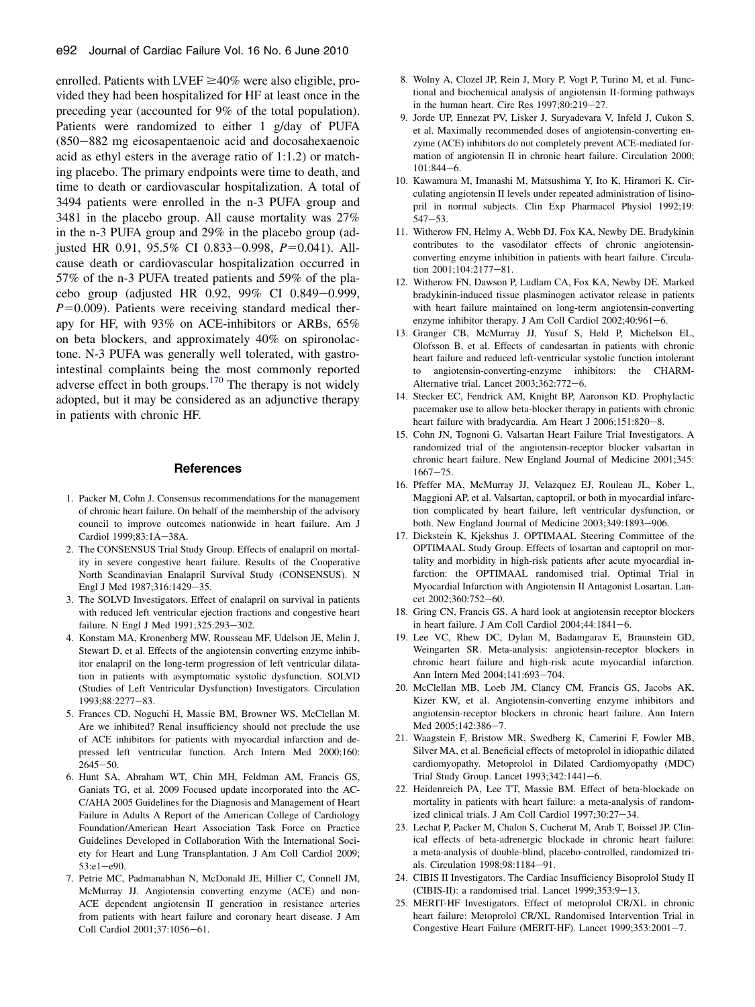<span id="page-19-0"></span>enrolled. Patients with LVEF  $\geq$ 40% were also eligible, provided they had been hospitalized for HF at least once in the preceding year (accounted for 9% of the total population). Patients were randomized to either 1 g/day of PUFA  $(850-882 \text{ mg}$  eicosapentaenoic acid and docosahexaenoic acid as ethyl esters in the average ratio of 1:1.2) or matching placebo. The primary endpoints were time to death, and time to death or cardiovascular hospitalization. A total of 3494 patients were enrolled in the n-3 PUFA group and 3481 in the placebo group. All cause mortality was 27% in the n-3 PUFA group and 29% in the placebo group (adjusted HR 0.91, 95.5% CI 0.833-0.998,  $P=0.041$ ). Allcause death or cardiovascular hospitalization occurred in 57% of the n-3 PUFA treated patients and 59% of the placebo group (adjusted HR  $0.92$ ,  $99\%$  CI  $0.849-0.999$ ,  $P=0.009$ ). Patients were receiving standard medical therapy for HF, with 93% on ACE-inhibitors or ARBs, 65% on beta blockers, and approximately 40% on spironolactone. N-3 PUFA was generally well tolerated, with gastrointestinal complaints being the most commonly reported adverse effect in both groups. $170$  The therapy is not widely adopted, but it may be considered as an adjunctive therapy in patients with chronic HF.

### **References**

- 1. Packer M, Cohn J. Consensus recommendations for the management of chronic heart failure. On behalf of the membership of the advisory council to improve outcomes nationwide in heart failure. Am J Cardiol 1999;83:1A-38A.
- 2. The CONSENSUS Trial Study Group. Effects of enalapril on mortality in severe congestive heart failure. Results of the Cooperative North Scandinavian Enalapril Survival Study (CONSENSUS). N Engl J Med 1987;316:1429-35.
- 3. The SOLVD Investigators. Effect of enalapril on survival in patients with reduced left ventricular ejection fractions and congestive heart failure. N Engl J Med 1991;325:293-302.
- 4. Konstam MA, Kronenberg MW, Rousseau MF, Udelson JE, Melin J, Stewart D, et al. Effects of the angiotensin converting enzyme inhibitor enalapril on the long-term progression of left ventricular dilatation in patients with asymptomatic systolic dysfunction. SOLVD (Studies of Left Ventricular Dysfunction) Investigators. Circulation 1993;88:2277-83.
- 5. Frances CD, Noguchi H, Massie BM, Browner WS, McClellan M. Are we inhibited? Renal insufficiency should not preclude the use of ACE inhibitors for patients with myocardial infarction and depressed left ventricular function. Arch Intern Med 2000;160:  $2645 - 50$ .
- 6. Hunt SA, Abraham WT, Chin MH, Feldman AM, Francis GS, Ganiats TG, et al. 2009 Focused update incorporated into the AC-C/AHA 2005 Guidelines for the Diagnosis and Management of Heart Failure in Adults A Report of the American College of Cardiology Foundation/American Heart Association Task Force on Practice Guidelines Developed in Collaboration With the International Society for Heart and Lung Transplantation. J Am Coll Cardiol 2009; 53:e1-e90.
- 7. Petrie MC, Padmanabhan N, McDonald JE, Hillier C, Connell JM, McMurray JJ. Angiotensin converting enzyme (ACE) and non-ACE dependent angiotensin II generation in resistance arteries from patients with heart failure and coronary heart disease. J Am Coll Cardiol 2001;37:1056-61.
- 8. Wolny A, Clozel JP, Rein J, Mory P, Vogt P, Turino M, et al. Functional and biochemical analysis of angiotensin II-forming pathways in the human heart. Circ Res  $1997;80:219-27$ .
- 9. Jorde UP, Ennezat PV, Lisker J, Suryadevara V, Infeld J, Cukon S, et al. Maximally recommended doses of angiotensin-converting enzyme (ACE) inhibitors do not completely prevent ACE-mediated formation of angiotensin II in chronic heart failure. Circulation 2000;  $101:844-6.$
- 10. Kawamura M, Imanashi M, Matsushima Y, Ito K, Hiramori K. Circulating angiotensin II levels under repeated administration of lisinopril in normal subjects. Clin Exp Pharmacol Physiol 1992;19:  $547 - 53$ .
- 11. Witherow FN, Helmy A, Webb DJ, Fox KA, Newby DE. Bradykinin contributes to the vasodilator effects of chronic angiotensinconverting enzyme inhibition in patients with heart failure. Circulation 2001;104:2177-81.
- 12. Witherow FN, Dawson P, Ludlam CA, Fox KA, Newby DE. Marked bradykinin-induced tissue plasminogen activator release in patients with heart failure maintained on long-term angiotensin-converting enzyme inhibitor therapy. J Am Coll Cardiol 2002;40:961-6.
- 13. Granger CB, McMurray JJ, Yusuf S, Held P, Michelson EL, Olofsson B, et al. Effects of candesartan in patients with chronic heart failure and reduced left-ventricular systolic function intolerant to angiotensin-converting-enzyme inhibitors: the CHARM-Alternative trial. Lancet  $2003;362:772-6$ .
- 14. Stecker EC, Fendrick AM, Knight BP, Aaronson KD. Prophylactic pacemaker use to allow beta-blocker therapy in patients with chronic heart failure with bradycardia. Am Heart J 2006;151:820-8.
- 15. Cohn JN, Tognoni G. Valsartan Heart Failure Trial Investigators. A randomized trial of the angiotensin-receptor blocker valsartan in chronic heart failure. New England Journal of Medicine 2001;345:  $1667 - 75$ .
- 16. Pfeffer MA, McMurray JJ, Velazquez EJ, Rouleau JL, Kober L, Maggioni AP, et al. Valsartan, captopril, or both in myocardial infarction complicated by heart failure, left ventricular dysfunction, or both. New England Journal of Medicine 2003;349:1893-906.
- 17. Dickstein K, Kjekshus J. OPTIMAAL Steering Committee of the OPTIMAAL Study Group. Effects of losartan and captopril on mortality and morbidity in high-risk patients after acute myocardial infarction: the OPTIMAAL randomised trial. Optimal Trial in Myocardial Infarction with Angiotensin II Antagonist Losartan. Lancet 2002:360:752-60.
- 18. Gring CN, Francis GS. A hard look at angiotensin receptor blockers in heart failure. J Am Coll Cardiol  $2004;44:1841-6$ .
- 19. Lee VC, Rhew DC, Dylan M, Badamgarav E, Braunstein GD, Weingarten SR. Meta-analysis: angiotensin-receptor blockers in chronic heart failure and high-risk acute myocardial infarction. Ann Intern Med 2004;141:693-704.
- 20. McClellan MB, Loeb JM, Clancy CM, Francis GS, Jacobs AK, Kizer KW, et al. Angiotensin-converting enzyme inhibitors and angiotensin-receptor blockers in chronic heart failure. Ann Intern Med 2005;142:386-7.
- 21. Waagstein F, Bristow MR, Swedberg K, Camerini F, Fowler MB, Silver MA, et al. Beneficial effects of metoprolol in idiopathic dilated cardiomyopathy. Metoprolol in Dilated Cardiomyopathy (MDC) Trial Study Group. Lancet 1993;342:1441-6.
- 22. Heidenreich PA, Lee TT, Massie BM. Effect of beta-blockade on mortality in patients with heart failure: a meta-analysis of randomized clinical trials. J Am Coll Cardiol  $1997;30:27-34$ .
- 23. Lechat P, Packer M, Chalon S, Cucherat M, Arab T, Boissel JP. Clinical effects of beta-adrenergic blockade in chronic heart failure: a meta-analysis of double-blind, placebo-controlled, randomized trials. Circulation 1998;98:1184-91.
- 24. CIBIS II Investigators. The Cardiac Insufficiency Bisoprolol Study II (CIBIS-II): a randomised trial. Lancet  $1999:353:9-13$ .
- 25. MERIT-HF Investigators. Effect of metoprolol CR/XL in chronic heart failure: Metoprolol CR/XL Randomised Intervention Trial in Congestive Heart Failure (MERIT-HF). Lancet 1999;353:2001-7.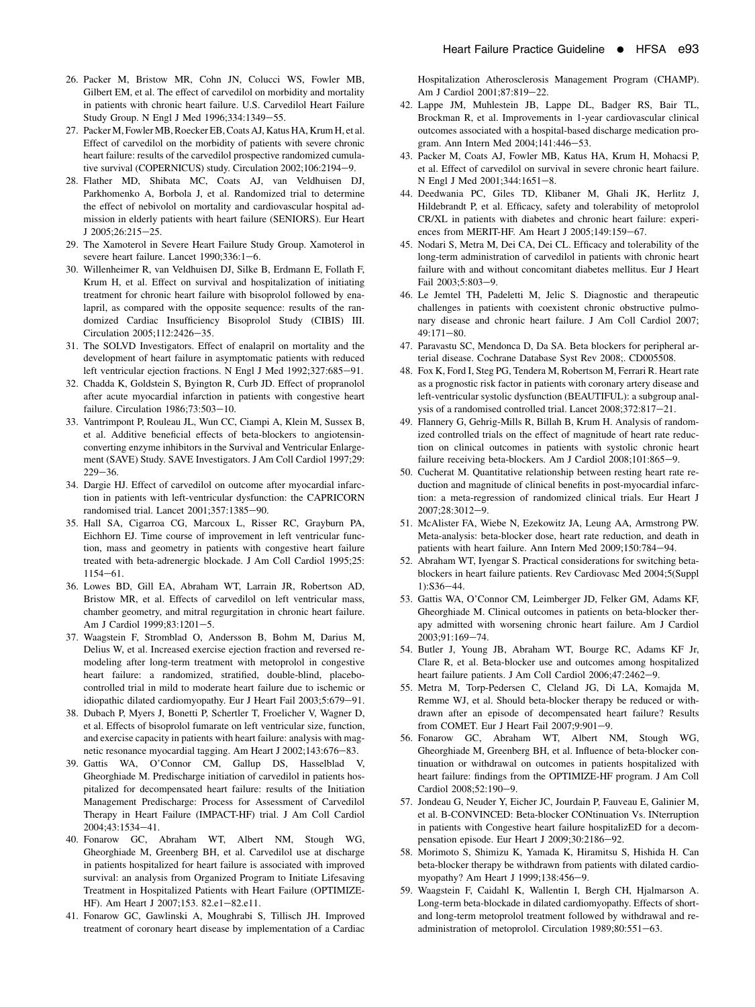- <span id="page-20-0"></span>26. Packer M, Bristow MR, Cohn JN, Colucci WS, Fowler MB, Gilbert EM, et al. The effect of carvedilol on morbidity and mortality in patients with chronic heart failure. U.S. Carvedilol Heart Failure Study Group. N Engl J Med 1996;334:1349-55.
- 27. Packer M, Fowler MB, Roecker EB, Coats AJ, Katus HA, Krum H, et al. Effect of carvedilol on the morbidity of patients with severe chronic heart failure: results of the carvedilol prospective randomized cumulative survival (COPERNICUS) study. Circulation 2002;106:2194-9.
- 28. Flather MD, Shibata MC, Coats AJ, van Veldhuisen DJ, Parkhomenko A, Borbola J, et al. Randomized trial to determine the effect of nebivolol on mortality and cardiovascular hospital admission in elderly patients with heart failure (SENIORS). Eur Heart J 2005;26:215-25.
- 29. The Xamoterol in Severe Heart Failure Study Group. Xamoterol in severe heart failure. Lancet 1990;336:1-6.
- 30. Willenheimer R, van Veldhuisen DJ, Silke B, Erdmann E, Follath F, Krum H, et al. Effect on survival and hospitalization of initiating treatment for chronic heart failure with bisoprolol followed by enalapril, as compared with the opposite sequence: results of the randomized Cardiac Insufficiency Bisoprolol Study (CIBIS) III. Circulation  $2005:112:2426-35$ .
- 31. The SOLVD Investigators. Effect of enalapril on mortality and the development of heart failure in asymptomatic patients with reduced left ventricular ejection fractions. N Engl J Med 1992;327:685-91.
- 32. Chadda K, Goldstein S, Byington R, Curb JD. Effect of propranolol after acute myocardial infarction in patients with congestive heart failure. Circulation 1986;73:503-10.
- 33. Vantrimpont P, Rouleau JL, Wun CC, Ciampi A, Klein M, Sussex B, et al. Additive beneficial effects of beta-blockers to angiotensinconverting enzyme inhibitors in the Survival and Ventricular Enlargement (SAVE) Study. SAVE Investigators. J Am Coll Cardiol 1997;29:  $229 - 36$ .
- 34. Dargie HJ. Effect of carvedilol on outcome after myocardial infarction in patients with left-ventricular dysfunction: the CAPRICORN randomised trial. Lancet 2001;357:1385-90.
- 35. Hall SA, Cigarroa CG, Marcoux L, Risser RC, Grayburn PA, Eichhorn EJ. Time course of improvement in left ventricular function, mass and geometry in patients with congestive heart failure treated with beta-adrenergic blockade. J Am Coll Cardiol 1995;25:  $1154 - 61.$
- 36. Lowes BD, Gill EA, Abraham WT, Larrain JR, Robertson AD, Bristow MR, et al. Effects of carvedilol on left ventricular mass, chamber geometry, and mitral regurgitation in chronic heart failure. Am J Cardiol 1999;83:1201-5.
- 37. Waagstein F, Stromblad O, Andersson B, Bohm M, Darius M, Delius W, et al. Increased exercise ejection fraction and reversed remodeling after long-term treatment with metoprolol in congestive heart failure: a randomized, stratified, double-blind, placebocontrolled trial in mild to moderate heart failure due to ischemic or idiopathic dilated cardiomyopathy. Eur J Heart Fail 2003;5:679-91.
- 38. Dubach P, Myers J, Bonetti P, Schertler T, Froelicher V, Wagner D, et al. Effects of bisoprolol fumarate on left ventricular size, function, and exercise capacity in patients with heart failure: analysis with magnetic resonance myocardial tagging. Am Heart J 2002;143:676-83.
- 39. Gattis WA, O'Connor CM, Gallup DS, Hasselblad V, Gheorghiade M. Predischarge initiation of carvedilol in patients hospitalized for decompensated heart failure: results of the Initiation Management Predischarge: Process for Assessment of Carvedilol Therapy in Heart Failure (IMPACT-HF) trial. J Am Coll Cardiol  $2004;43:1534-41.$
- 40. Fonarow GC, Abraham WT, Albert NM, Stough WG, Gheorghiade M, Greenberg BH, et al. Carvedilol use at discharge in patients hospitalized for heart failure is associated with improved survival: an analysis from Organized Program to Initiate Lifesaving Treatment in Hospitalized Patients with Heart Failure (OPTIMIZE-HF). Am Heart J 2007;153. 82.e1-82.e11.
- 41. Fonarow GC, Gawlinski A, Moughrabi S, Tillisch JH. Improved treatment of coronary heart disease by implementation of a Cardiac

Hospitalization Atherosclerosis Management Program (CHAMP). Am J Cardiol 2001;87:819-22.

- 42. Lappe JM, Muhlestein JB, Lappe DL, Badger RS, Bair TL, Brockman R, et al. Improvements in 1-year cardiovascular clinical outcomes associated with a hospital-based discharge medication program. Ann Intern Med 2004;141:446-53.
- 43. Packer M, Coats AJ, Fowler MB, Katus HA, Krum H, Mohacsi P, et al. Effect of carvedilol on survival in severe chronic heart failure. N Engl J Med 2001;344:1651-8.
- 44. Deedwania PC, Giles TD, Klibaner M, Ghali JK, Herlitz J, Hildebrandt P, et al. Efficacy, safety and tolerability of metoprolol CR/XL in patients with diabetes and chronic heart failure: experiences from MERIT-HF. Am Heart J  $2005;149:159-67$ .
- 45. Nodari S, Metra M, Dei CA, Dei CL. Efficacy and tolerability of the long-term administration of carvedilol in patients with chronic heart failure with and without concomitant diabetes mellitus. Eur J Heart Fail 2003;5:803-9.
- 46. Le Jemtel TH, Padeletti M, Jelic S. Diagnostic and therapeutic challenges in patients with coexistent chronic obstructive pulmonary disease and chronic heart failure. J Am Coll Cardiol 2007;  $49:171-80.$
- 47. Paravastu SC, Mendonca D, Da SA. Beta blockers for peripheral arterial disease. Cochrane Database Syst Rev 2008;. CD005508.
- 48. Fox K, Ford I, Steg PG, Tendera M, Robertson M, Ferrari R. Heart rate as a prognostic risk factor in patients with coronary artery disease and left-ventricular systolic dysfunction (BEAUTIFUL): a subgroup analysis of a randomised controlled trial. Lancet 2008;372:817-21.
- 49. Flannery G, Gehrig-Mills R, Billah B, Krum H. Analysis of randomized controlled trials on the effect of magnitude of heart rate reduction on clinical outcomes in patients with systolic chronic heart failure receiving beta-blockers. Am J Cardiol 2008;101:865-9.
- 50. Cucherat M. Quantitative relationship between resting heart rate reduction and magnitude of clinical benefits in post-myocardial infarction: a meta-regression of randomized clinical trials. Eur Heart J 2007;28:3012-9.
- 51. McAlister FA, Wiebe N, Ezekowitz JA, Leung AA, Armstrong PW. Meta-analysis: beta-blocker dose, heart rate reduction, and death in patients with heart failure. Ann Intern Med 2009;150:784-94.
- 52. Abraham WT, Iyengar S. Practical considerations for switching betablockers in heart failure patients. Rev Cardiovasc Med 2004;5(Suppl  $1):S36-44.$
- 53. Gattis WA, O'Connor CM, Leimberger JD, Felker GM, Adams KF, Gheorghiade M. Clinical outcomes in patients on beta-blocker therapy admitted with worsening chronic heart failure. Am J Cardiol 2003;91:169-74.
- 54. Butler J, Young JB, Abraham WT, Bourge RC, Adams KF Jr, Clare R, et al. Beta-blocker use and outcomes among hospitalized heart failure patients. J Am Coll Cardiol 2006;47:2462-9.
- 55. Metra M, Torp-Pedersen C, Cleland JG, Di LA, Komajda M, Remme WJ, et al. Should beta-blocker therapy be reduced or withdrawn after an episode of decompensated heart failure? Results from COMET. Eur J Heart Fail 2007;9:901-9.
- 56. Fonarow GC, Abraham WT, Albert NM, Stough WG, Gheorghiade M, Greenberg BH, et al. Influence of beta-blocker continuation or withdrawal on outcomes in patients hospitalized with heart failure: findings from the OPTIMIZE-HF program. J Am Coll Cardiol 2008;52:190-9.
- 57. Jondeau G, Neuder Y, Eicher JC, Jourdain P, Fauveau E, Galinier M, et al. B-CONVINCED: Beta-blocker CONtinuation Vs. INterruption in patients with Congestive heart failure hospitalizED for a decompensation episode. Eur Heart J 2009;30:2186-92.
- 58. Morimoto S, Shimizu K, Yamada K, Hiramitsu S, Hishida H. Can beta-blocker therapy be withdrawn from patients with dilated cardiomyopathy? Am Heart J 1999;138:456-9.
- 59. Waagstein F, Caidahl K, Wallentin I, Bergh CH, Hjalmarson A. Long-term beta-blockade in dilated cardiomyopathy. Effects of shortand long-term metoprolol treatment followed by withdrawal and readministration of metoprolol. Circulation 1989;80:551-63.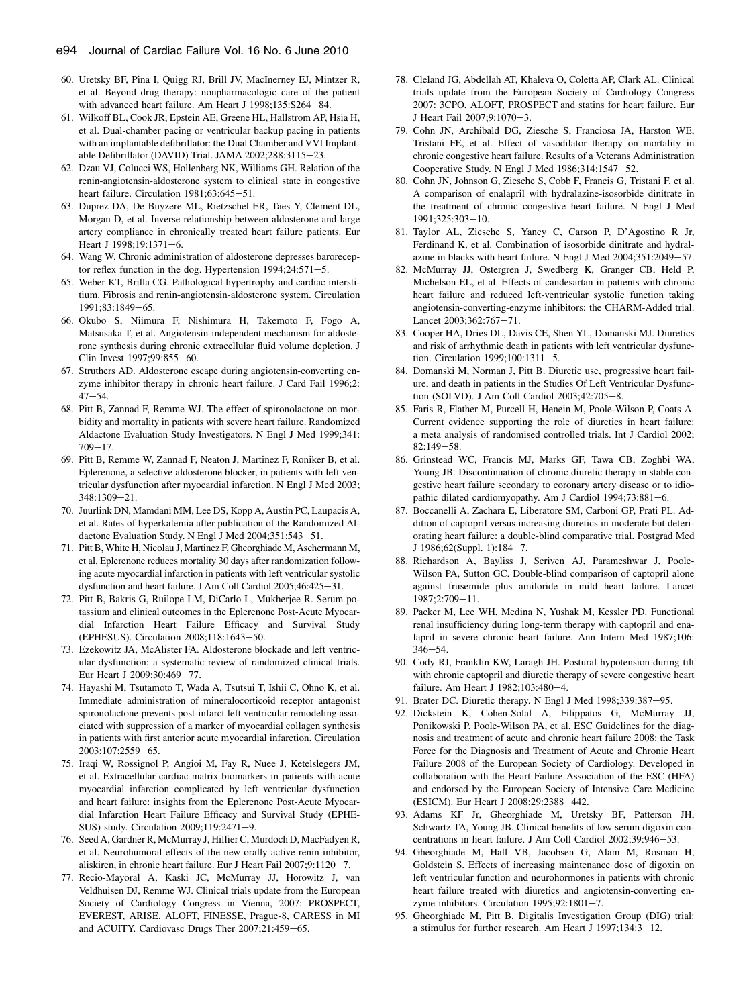- <span id="page-21-0"></span>60. Uretsky BF, Pina I, Quigg RJ, Brill JV, MacInerney EJ, Mintzer R, et al. Beyond drug therapy: nonpharmacologic care of the patient with advanced heart failure. Am Heart J 1998;135:S264-84.
- 61. Wilkoff BL, Cook JR, Epstein AE, Greene HL, Hallstrom AP, Hsia H, et al. Dual-chamber pacing or ventricular backup pacing in patients with an implantable defibrillator: the Dual Chamber and VVI Implantable Defibrillator (DAVID) Trial. JAMA 2002;288:3115 $-23$ .
- 62. Dzau VJ, Colucci WS, Hollenberg NK, Williams GH. Relation of the renin-angiotensin-aldosterone system to clinical state in congestive heart failure. Circulation 1981;63:645-51.
- 63. Duprez DA, De Buyzere ML, Rietzschel ER, Taes Y, Clement DL, Morgan D, et al. Inverse relationship between aldosterone and large artery compliance in chronically treated heart failure patients. Eur Heart J 1998;19:1371-6.
- 64. Wang W. Chronic administration of aldosterone depresses baroreceptor reflex function in the dog. Hypertension  $1994;24:571-5$ .
- 65. Weber KT, Brilla CG. Pathological hypertrophy and cardiac interstitium. Fibrosis and renin-angiotensin-aldosterone system. Circulation 1991;83:1849-65.
- 66. Okubo S, Niimura F, Nishimura H, Takemoto F, Fogo A, Matsusaka T, et al. Angiotensin-independent mechanism for aldosterone synthesis during chronic extracellular fluid volume depletion. J Clin Invest 1997;99:855-60.
- 67. Struthers AD. Aldosterone escape during angiotensin-converting enzyme inhibitor therapy in chronic heart failure. J Card Fail 1996;2:  $47 - 54$
- 68. Pitt B, Zannad F, Remme WJ. The effect of spironolactone on morbidity and mortality in patients with severe heart failure. Randomized Aldactone Evaluation Study Investigators. N Engl J Med 1999;341:  $709 - 17$
- 69. Pitt B, Remme W, Zannad F, Neaton J, Martinez F, Roniker B, et al. Eplerenone, a selective aldosterone blocker, in patients with left ventricular dysfunction after myocardial infarction. N Engl J Med 2003; 348:1309-21.
- 70. Juurlink DN, Mamdani MM, Lee DS, Kopp A, Austin PC, Laupacis A, et al. Rates of hyperkalemia after publication of the Randomized Aldactone Evaluation Study. N Engl J Med 2004;351:543-51.
- 71. Pitt B, White H, Nicolau J, Martinez F, Gheorghiade M, Aschermann M, et al. Eplerenone reduces mortality 30 days after randomization following acute myocardial infarction in patients with left ventricular systolic dysfunction and heart failure. J Am Coll Cardiol 2005;46:425-31.
- 72. Pitt B, Bakris G, Ruilope LM, DiCarlo L, Mukherjee R. Serum potassium and clinical outcomes in the Eplerenone Post-Acute Myocardial Infarction Heart Failure Efficacy and Survival Study (EPHESUS). Circulation 2008;118:1643-50.
- 73. Ezekowitz JA, McAlister FA. Aldosterone blockade and left ventricular dysfunction: a systematic review of randomized clinical trials. Eur Heart J 2009:30:469-77.
- 74. Hayashi M, Tsutamoto T, Wada A, Tsutsui T, Ishii C, Ohno K, et al. Immediate administration of mineralocorticoid receptor antagonist spironolactone prevents post-infarct left ventricular remodeling associated with suppression of a marker of myocardial collagen synthesis in patients with first anterior acute myocardial infarction. Circulation 2003;107:2559-65.
- 75. Iraqi W, Rossignol P, Angioi M, Fay R, Nuee J, Ketelslegers JM, et al. Extracellular cardiac matrix biomarkers in patients with acute myocardial infarction complicated by left ventricular dysfunction and heart failure: insights from the Eplerenone Post-Acute Myocardial Infarction Heart Failure Efficacy and Survival Study (EPHE-SUS) study. Circulation 2009;119:2471-9.
- 76. Seed A, Gardner R, McMurray J, Hillier C, Murdoch D, MacFadyen R, et al. Neurohumoral effects of the new orally active renin inhibitor, aliskiren, in chronic heart failure. Eur J Heart Fail 2007;9:1120-7.
- 77. Recio-Mayoral A, Kaski JC, McMurray JJ, Horowitz J, van Veldhuisen DJ, Remme WJ. Clinical trials update from the European Society of Cardiology Congress in Vienna, 2007: PROSPECT, EVEREST, ARISE, ALOFT, FINESSE, Prague-8, CARESS in MI and ACUITY. Cardiovasc Drugs Ther 2007;21:459-65.
- 78. Cleland JG, Abdellah AT, Khaleva O, Coletta AP, Clark AL. Clinical trials update from the European Society of Cardiology Congress 2007: 3CPO, ALOFT, PROSPECT and statins for heart failure. Eur J Heart Fail 2007;9:1070-3.
- 79. Cohn JN, Archibald DG, Ziesche S, Franciosa JA, Harston WE, Tristani FE, et al. Effect of vasodilator therapy on mortality in chronic congestive heart failure. Results of a Veterans Administration Cooperative Study. N Engl J Med  $1986;314:1547-52$ .
- 80. Cohn JN, Johnson G, Ziesche S, Cobb F, Francis G, Tristani F, et al. A comparison of enalapril with hydralazine-isosorbide dinitrate in the treatment of chronic congestive heart failure. N Engl J Med 1991:325:303-10.
- 81. Taylor AL, Ziesche S, Yancy C, Carson P, D'Agostino R Jr, Ferdinand K, et al. Combination of isosorbide dinitrate and hydralazine in blacks with heart failure. N Engl J Med 2004;351:2049-57.
- 82. McMurray JJ, Ostergren J, Swedberg K, Granger CB, Held P, Michelson EL, et al. Effects of candesartan in patients with chronic heart failure and reduced left-ventricular systolic function taking angiotensin-converting-enzyme inhibitors: the CHARM-Added trial. Lancet 2003;362:767-71.
- 83. Cooper HA, Dries DL, Davis CE, Shen YL, Domanski MJ. Diuretics and risk of arrhythmic death in patients with left ventricular dysfunction. Circulation 1999;100:1311-5.
- 84. Domanski M, Norman J, Pitt B. Diuretic use, progressive heart failure, and death in patients in the Studies Of Left Ventricular Dysfunction (SOLVD). J Am Coll Cardiol 2003;42:705-8.
- 85. Faris R, Flather M, Purcell H, Henein M, Poole-Wilson P, Coats A. Current evidence supporting the role of diuretics in heart failure: a meta analysis of randomised controlled trials. Int J Cardiol 2002; 82:149-58.
- 86. Grinstead WC, Francis MJ, Marks GF, Tawa CB, Zoghbi WA, Young JB. Discontinuation of chronic diuretic therapy in stable congestive heart failure secondary to coronary artery disease or to idiopathic dilated cardiomyopathy. Am J Cardiol 1994;73:881-6.
- 87. Boccanelli A, Zachara E, Liberatore SM, Carboni GP, Prati PL. Addition of captopril versus increasing diuretics in moderate but deteriorating heart failure: a double-blind comparative trial. Postgrad Med J 1986;62(Suppl. 1):184-7.
- 88. Richardson A, Bayliss J, Scriven AJ, Parameshwar J, Poole-Wilson PA, Sutton GC. Double-blind comparison of captopril alone against frusemide plus amiloride in mild heart failure. Lancet 1987;2:709-11.
- 89. Packer M, Lee WH, Medina N, Yushak M, Kessler PD. Functional renal insufficiency during long-term therapy with captopril and enalapril in severe chronic heart failure. Ann Intern Med 1987;106:  $346 - 54.$
- 90. Cody RJ, Franklin KW, Laragh JH. Postural hypotension during tilt with chronic captopril and diuretic therapy of severe congestive heart failure. Am Heart J 1982;103:480-4.
- 91. Brater DC. Diuretic therapy. N Engl J Med 1998;339:387-95.
- 92. Dickstein K, Cohen-Solal A, Filippatos G, McMurray JJ, Ponikowski P, Poole-Wilson PA, et al. ESC Guidelines for the diagnosis and treatment of acute and chronic heart failure 2008: the Task Force for the Diagnosis and Treatment of Acute and Chronic Heart Failure 2008 of the European Society of Cardiology. Developed in collaboration with the Heart Failure Association of the ESC (HFA) and endorsed by the European Society of Intensive Care Medicine (ESICM). Eur Heart J 2008;29:2388-442.
- 93. Adams KF Jr, Gheorghiade M, Uretsky BF, Patterson JH, Schwartz TA, Young JB. Clinical benefits of low serum digoxin concentrations in heart failure. J Am Coll Cardiol 2002;39:946-53.
- 94. Gheorghiade M, Hall VB, Jacobsen G, Alam M, Rosman H, Goldstein S. Effects of increasing maintenance dose of digoxin on left ventricular function and neurohormones in patients with chronic heart failure treated with diuretics and angiotensin-converting enzyme inhibitors. Circulation  $1995;92:1801-7$ .
- 95. Gheorghiade M, Pitt B. Digitalis Investigation Group (DIG) trial: a stimulus for further research. Am Heart J 1997;134:3-12.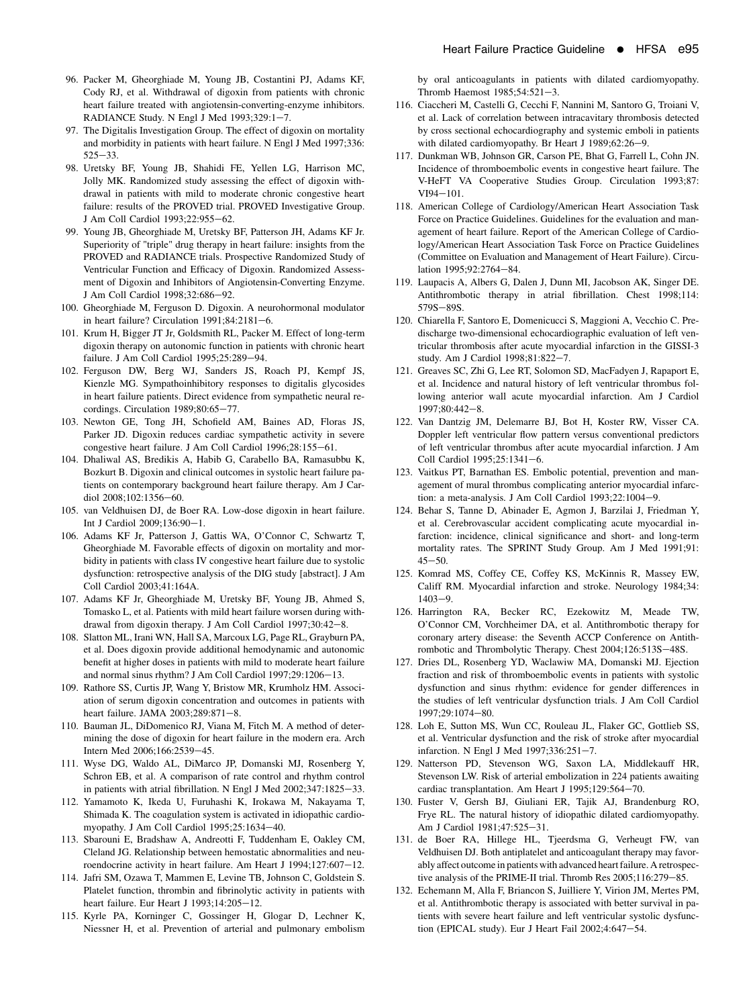- <span id="page-22-0"></span>96. Packer M, Gheorghiade M, Young JB, Costantini PJ, Adams KF, Cody RJ, et al. Withdrawal of digoxin from patients with chronic heart failure treated with angiotensin-converting-enzyme inhibitors. RADIANCE Study. N Engl J Med  $1993;329:1-7$ .
- 97. The Digitalis Investigation Group. The effect of digoxin on mortality and morbidity in patients with heart failure. N Engl J Med 1997;336:  $525 - 33.$
- 98. Uretsky BF, Young JB, Shahidi FE, Yellen LG, Harrison MC, Jolly MK. Randomized study assessing the effect of digoxin withdrawal in patients with mild to moderate chronic congestive heart failure: results of the PROVED trial. PROVED Investigative Group. J Am Coll Cardiol 1993;22:955-62.
- 99. Young JB, Gheorghiade M, Uretsky BF, Patterson JH, Adams KF Jr. Superiority of "triple" drug therapy in heart failure: insights from the PROVED and RADIANCE trials. Prospective Randomized Study of Ventricular Function and Efficacy of Digoxin. Randomized Assessment of Digoxin and Inhibitors of Angiotensin-Converting Enzyme. J Am Coll Cardiol 1998;32:686-92.
- 100. Gheorghiade M, Ferguson D. Digoxin. A neurohormonal modulator in heart failure? Circulation  $1991;84:2181-6$ .
- 101. Krum H, Bigger JT Jr, Goldsmith RL, Packer M. Effect of long-term digoxin therapy on autonomic function in patients with chronic heart failure. J Am Coll Cardiol 1995;25:289-94.
- 102. Ferguson DW, Berg WJ, Sanders JS, Roach PJ, Kempf JS, Kienzle MG. Sympathoinhibitory responses to digitalis glycosides in heart failure patients. Direct evidence from sympathetic neural recordings. Circulation 1989;80:65-77.
- 103. Newton GE, Tong JH, Schofield AM, Baines AD, Floras JS, Parker JD. Digoxin reduces cardiac sympathetic activity in severe congestive heart failure. J Am Coll Cardiol 1996;28:155-61.
- 104. Dhaliwal AS, Bredikis A, Habib G, Carabello BA, Ramasubbu K, Bozkurt B. Digoxin and clinical outcomes in systolic heart failure patients on contemporary background heart failure therapy. Am J Cardiol 2008;102:1356-60.
- 105. van Veldhuisen DJ, de Boer RA. Low-dose digoxin in heart failure. Int J Cardiol 2009;136:90-1.
- 106. Adams KF Jr, Patterson J, Gattis WA, O'Connor C, Schwartz T, Gheorghiade M. Favorable effects of digoxin on mortality and morbidity in patients with class IV congestive heart failure due to systolic dysfunction: retrospective analysis of the DIG study [abstract]. J Am Coll Cardiol 2003;41:164A.
- 107. Adams KF Jr, Gheorghiade M, Uretsky BF, Young JB, Ahmed S, Tomasko L, et al. Patients with mild heart failure worsen during withdrawal from digoxin therapy. J Am Coll Cardiol  $1997;30:42-8$ .
- 108. Slatton ML, Irani WN, Hall SA, Marcoux LG, Page RL, Grayburn PA, et al. Does digoxin provide additional hemodynamic and autonomic benefit at higher doses in patients with mild to moderate heart failure and normal sinus rhythm? J Am Coll Cardiol 1997;29:1206-13.
- 109. Rathore SS, Curtis JP, Wang Y, Bristow MR, Krumholz HM. Association of serum digoxin concentration and outcomes in patients with heart failure. JAMA 2003;289:871-8.
- 110. Bauman JL, DiDomenico RJ, Viana M, Fitch M. A method of determining the dose of digoxin for heart failure in the modern era. Arch Intern Med 2006;166:2539-45.
- 111. Wyse DG, Waldo AL, DiMarco JP, Domanski MJ, Rosenberg Y, Schron EB, et al. A comparison of rate control and rhythm control in patients with atrial fibrillation. N Engl J Med  $2002;347:1825-33$ .
- 112. Yamamoto K, Ikeda U, Furuhashi K, Irokawa M, Nakayama T, Shimada K. The coagulation system is activated in idiopathic cardiomyopathy. J Am Coll Cardiol 1995;25:1634-40.
- 113. Sbarouni E, Bradshaw A, Andreotti F, Tuddenham E, Oakley CM, Cleland JG. Relationship between hemostatic abnormalities and neuroendocrine activity in heart failure. Am Heart J 1994;127:607-12.
- 114. Jafri SM, Ozawa T, Mammen E, Levine TB, Johnson C, Goldstein S. Platelet function, thrombin and fibrinolytic activity in patients with heart failure. Eur Heart J 1993;14:205-12.
- 115. Kyrle PA, Korninger C, Gossinger H, Glogar D, Lechner K, Niessner H, et al. Prevention of arterial and pulmonary embolism

by oral anticoagulants in patients with dilated cardiomyopathy. Thromb Haemost  $1985;54:521-3$ .

- 116. Ciaccheri M, Castelli G, Cecchi F, Nannini M, Santoro G, Troiani V, et al. Lack of correlation between intracavitary thrombosis detected by cross sectional echocardiography and systemic emboli in patients with dilated cardiomyopathy. Br Heart J  $1989;62:26-9$ .
- 117. Dunkman WB, Johnson GR, Carson PE, Bhat G, Farrell L, Cohn JN. Incidence of thromboembolic events in congestive heart failure. The V-HeFT VA Cooperative Studies Group. Circulation 1993;87:  $VI94 - 101.$
- 118. American College of Cardiology/American Heart Association Task Force on Practice Guidelines. Guidelines for the evaluation and management of heart failure. Report of the American College of Cardiology/American Heart Association Task Force on Practice Guidelines (Committee on Evaluation and Management of Heart Failure). Circulation 1995:92:2764-84.
- 119. Laupacis A, Albers G, Dalen J, Dunn MI, Jacobson AK, Singer DE. Antithrombotic therapy in atrial fibrillation. Chest 1998;114: 579S-89S
- 120. Chiarella F, Santoro E, Domenicucci S, Maggioni A, Vecchio C. Predischarge two-dimensional echocardiographic evaluation of left ventricular thrombosis after acute myocardial infarction in the GISSI-3 study. Am J Cardiol 1998;81:822-7.
- 121. Greaves SC, Zhi G, Lee RT, Solomon SD, MacFadyen J, Rapaport E, et al. Incidence and natural history of left ventricular thrombus following anterior wall acute myocardial infarction. Am J Cardiol 1997;80:442-8.
- 122. Van Dantzig JM, Delemarre BJ, Bot H, Koster RW, Visser CA. Doppler left ventricular flow pattern versus conventional predictors of left ventricular thrombus after acute myocardial infarction. J Am Coll Cardiol 1995;25:1341-6.
- 123. Vaitkus PT, Barnathan ES. Embolic potential, prevention and management of mural thrombus complicating anterior myocardial infarction: a meta-analysis. J Am Coll Cardiol 1993;22:1004-9.
- 124. Behar S, Tanne D, Abinader E, Agmon J, Barzilai J, Friedman Y, et al. Cerebrovascular accident complicating acute myocardial infarction: incidence, clinical significance and short- and long-term mortality rates. The SPRINT Study Group. Am J Med 1991;91:  $45 - 50$ .
- 125. Komrad MS, Coffey CE, Coffey KS, McKinnis R, Massey EW, Califf RM. Myocardial infarction and stroke. Neurology 1984;34:  $1403 - 9.$
- 126. Harrington RA, Becker RC, Ezekowitz M, Meade TW, O'Connor CM, Vorchheimer DA, et al. Antithrombotic therapy for coronary artery disease: the Seventh ACCP Conference on Antithrombotic and Thrombolytic Therapy. Chest 2004;126:513S-48S.
- 127. Dries DL, Rosenberg YD, Waclawiw MA, Domanski MJ. Ejection fraction and risk of thromboembolic events in patients with systolic dysfunction and sinus rhythm: evidence for gender differences in the studies of left ventricular dysfunction trials. J Am Coll Cardiol 1997;29:1074-80.
- 128. Loh E, Sutton MS, Wun CC, Rouleau JL, Flaker GC, Gottlieb SS, et al. Ventricular dysfunction and the risk of stroke after myocardial infarction. N Engl J Med 1997;336:251-7.
- 129. Natterson PD, Stevenson WG, Saxon LA, Middlekauff HR, Stevenson LW. Risk of arterial embolization in 224 patients awaiting cardiac transplantation. Am Heart J  $1995;129:564-70$ .
- 130. Fuster V, Gersh BJ, Giuliani ER, Tajik AJ, Brandenburg RO, Frye RL. The natural history of idiopathic dilated cardiomyopathy. Am J Cardiol 1981;47:525-31.
- 131. de Boer RA, Hillege HL, Tjeerdsma G, Verheugt FW, van Veldhuisen DJ. Both antiplatelet and anticoagulant therapy may favorably affect outcome in patients with advanced heart failure. A retrospective analysis of the PRIME-II trial. Thromb Res 2005;116:279-85.
- 132. Echemann M, Alla F, Briancon S, Juilliere Y, Virion JM, Mertes PM, et al. Antithrombotic therapy is associated with better survival in patients with severe heart failure and left ventricular systolic dysfunction (EPICAL study). Eur J Heart Fail  $2002;4:647-54$ .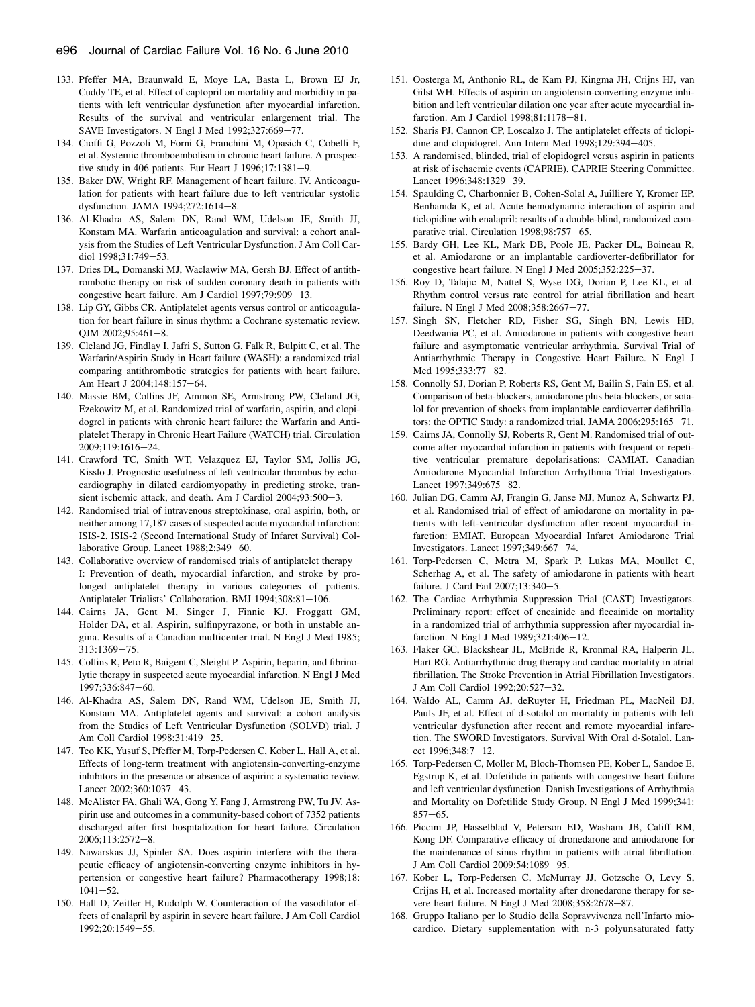- <span id="page-23-0"></span>133. Pfeffer MA, Braunwald E, Moye LA, Basta L, Brown EJ Jr, Cuddy TE, et al. Effect of captopril on mortality and morbidity in patients with left ventricular dysfunction after myocardial infarction. Results of the survival and ventricular enlargement trial. The SAVE Investigators. N Engl J Med 1992;327:669-77.
- 134. Cioffi G, Pozzoli M, Forni G, Franchini M, Opasich C, Cobelli F, et al. Systemic thromboembolism in chronic heart failure. A prospective study in 406 patients. Eur Heart J  $1996:17:1381-9$ .
- 135. Baker DW, Wright RF. Management of heart failure. IV. Anticoagulation for patients with heart failure due to left ventricular systolic dysfunction. JAMA 1994;272:1614-8.
- 136. Al-Khadra AS, Salem DN, Rand WM, Udelson JE, Smith JJ, Konstam MA. Warfarin anticoagulation and survival: a cohort analysis from the Studies of Left Ventricular Dysfunction. J Am Coll Cardiol 1998;31:749-53.
- 137. Dries DL, Domanski MJ, Waclawiw MA, Gersh BJ. Effect of antithrombotic therapy on risk of sudden coronary death in patients with congestive heart failure. Am J Cardiol 1997;79:909-13.
- 138. Lip GY, Gibbs CR. Antiplatelet agents versus control or anticoagulation for heart failure in sinus rhythm: a Cochrane systematic review.  $OIM$  2002;95:461-8.
- 139. Cleland JG, Findlay I, Jafri S, Sutton G, Falk R, Bulpitt C, et al. The Warfarin/Aspirin Study in Heart failure (WASH): a randomized trial comparing antithrombotic strategies for patients with heart failure. Am Heart J 2004:148:157-64.
- 140. Massie BM, Collins JF, Ammon SE, Armstrong PW, Cleland JG, Ezekowitz M, et al. Randomized trial of warfarin, aspirin, and clopidogrel in patients with chronic heart failure: the Warfarin and Antiplatelet Therapy in Chronic Heart Failure (WATCH) trial. Circulation 2009:119:1616-24.
- 141. Crawford TC, Smith WT, Velazquez EJ, Taylor SM, Jollis JG, Kisslo J. Prognostic usefulness of left ventricular thrombus by echocardiography in dilated cardiomyopathy in predicting stroke, transient ischemic attack, and death. Am J Cardiol 2004;93:500-3.
- 142. Randomised trial of intravenous streptokinase, oral aspirin, both, or neither among 17,187 cases of suspected acute myocardial infarction: ISIS-2. ISIS-2 (Second International Study of Infarct Survival) Collaborative Group. Lancet 1988;2:349-60.
- 143. Collaborative overview of randomised trials of antiplatelet therapy-I: Prevention of death, myocardial infarction, and stroke by prolonged antiplatelet therapy in various categories of patients. Antiplatelet Trialists' Collaboration. BMJ 1994;308:81-106.
- 144. Cairns JA, Gent M, Singer J, Finnie KJ, Froggatt GM, Holder DA, et al. Aspirin, sulfinpyrazone, or both in unstable angina. Results of a Canadian multicenter trial. N Engl J Med 1985; 313:1369-75.
- 145. Collins R, Peto R, Baigent C, Sleight P. Aspirin, heparin, and fibrinolytic therapy in suspected acute myocardial infarction. N Engl J Med 1997;336:847-60.
- 146. Al-Khadra AS, Salem DN, Rand WM, Udelson JE, Smith JJ, Konstam MA. Antiplatelet agents and survival: a cohort analysis from the Studies of Left Ventricular Dysfunction (SOLVD) trial. J Am Coll Cardiol 1998;31:419-25.
- 147. Teo KK, Yusuf S, Pfeffer M, Torp-Pedersen C, Kober L, Hall A, et al. Effects of long-term treatment with angiotensin-converting-enzyme inhibitors in the presence or absence of aspirin: a systematic review. Lancet 2002;360:1037-43.
- 148. McAlister FA, Ghali WA, Gong Y, Fang J, Armstrong PW, Tu JV. Aspirin use and outcomes in a community-based cohort of 7352 patients discharged after first hospitalization for heart failure. Circulation  $2006:113:2572-8.$
- 149. Nawarskas JJ, Spinler SA. Does aspirin interfere with the therapeutic efficacy of angiotensin-converting enzyme inhibitors in hypertension or congestive heart failure? Pharmacotherapy 1998;18:  $1041 - 52$ .
- 150. Hall D, Zeitler H, Rudolph W. Counteraction of the vasodilator effects of enalapril by aspirin in severe heart failure. J Am Coll Cardiol 1992;20:1549-55.
- 151. Oosterga M, Anthonio RL, de Kam PJ, Kingma JH, Crijns HJ, van Gilst WH. Effects of aspirin on angiotensin-converting enzyme inhibition and left ventricular dilation one year after acute myocardial infarction. Am J Cardiol 1998;81:1178-81.
- 152. Sharis PJ, Cannon CP, Loscalzo J. The antiplatelet effects of ticlopidine and clopidogrel. Ann Intern Med 1998;129:394-405.
- 153. A randomised, blinded, trial of clopidogrel versus aspirin in patients at risk of ischaemic events (CAPRIE). CAPRIE Steering Committee. Lancet 1996;348:1329-39.
- 154. Spaulding C, Charbonnier B, Cohen-Solal A, Juilliere Y, Kromer EP, Benhamda K, et al. Acute hemodynamic interaction of aspirin and ticlopidine with enalapril: results of a double-blind, randomized comparative trial. Circulation 1998;98:757-65.
- 155. Bardy GH, Lee KL, Mark DB, Poole JE, Packer DL, Boineau R, et al. Amiodarone or an implantable cardioverter-defibrillator for congestive heart failure. N Engl J Med 2005;352:225-37.
- 156. Roy D, Talajic M, Nattel S, Wyse DG, Dorian P, Lee KL, et al. Rhythm control versus rate control for atrial fibrillation and heart failure. N Engl J Med 2008;358:2667-77.
- 157. Singh SN, Fletcher RD, Fisher SG, Singh BN, Lewis HD, Deedwania PC, et al. Amiodarone in patients with congestive heart failure and asymptomatic ventricular arrhythmia. Survival Trial of Antiarrhythmic Therapy in Congestive Heart Failure. N Engl J Med 1995;333:77-82.
- 158. Connolly SJ, Dorian P, Roberts RS, Gent M, Bailin S, Fain ES, et al. Comparison of beta-blockers, amiodarone plus beta-blockers, or sotalol for prevention of shocks from implantable cardioverter defibrillators: the OPTIC Study: a randomized trial. JAMA 2006;295:165-71.
- 159. Cairns JA, Connolly SJ, Roberts R, Gent M. Randomised trial of outcome after myocardial infarction in patients with frequent or repetitive ventricular premature depolarisations: CAMIAT. Canadian Amiodarone Myocardial Infarction Arrhythmia Trial Investigators. Lancet 1997;349:675-82.
- 160. Julian DG, Camm AJ, Frangin G, Janse MJ, Munoz A, Schwartz PJ, et al. Randomised trial of effect of amiodarone on mortality in patients with left-ventricular dysfunction after recent myocardial infarction: EMIAT. European Myocardial Infarct Amiodarone Trial Investigators. Lancet 1997;349:667-74.
- 161. Torp-Pedersen C, Metra M, Spark P, Lukas MA, Moullet C, Scherhag A, et al. The safety of amiodarone in patients with heart failure. J Card Fail 2007;13:340-5.
- 162. The Cardiac Arrhythmia Suppression Trial (CAST) Investigators. Preliminary report: effect of encainide and flecainide on mortality in a randomized trial of arrhythmia suppression after myocardial infarction. N Engl J Med 1989;321:406-12.
- 163. Flaker GC, Blackshear JL, McBride R, Kronmal RA, Halperin JL, Hart RG. Antiarrhythmic drug therapy and cardiac mortality in atrial fibrillation. The Stroke Prevention in Atrial Fibrillation Investigators. J Am Coll Cardiol 1992;20:527-32.
- 164. Waldo AL, Camm AJ, deRuyter H, Friedman PL, MacNeil DJ, Pauls JF, et al. Effect of d-sotalol on mortality in patients with left ventricular dysfunction after recent and remote myocardial infarction. The SWORD Investigators. Survival With Oral d-Sotalol. Lancet 1996;348:7-12.
- 165. Torp-Pedersen C, Moller M, Bloch-Thomsen PE, Kober L, Sandoe E, Egstrup K, et al. Dofetilide in patients with congestive heart failure and left ventricular dysfunction. Danish Investigations of Arrhythmia and Mortality on Dofetilide Study Group. N Engl J Med 1999;341:  $857 - 65.$
- 166. Piccini JP, Hasselblad V, Peterson ED, Washam JB, Califf RM, Kong DF. Comparative efficacy of dronedarone and amiodarone for the maintenance of sinus rhythm in patients with atrial fibrillation. J Am Coll Cardiol 2009;54:1089-95.
- 167. Kober L, Torp-Pedersen C, McMurray JJ, Gotzsche O, Levy S, Crijns H, et al. Increased mortality after dronedarone therapy for severe heart failure. N Engl J Med 2008;358:2678-87.
- 168. Gruppo Italiano per lo Studio della Sopravvivenza nell'Infarto miocardico. Dietary supplementation with n-3 polyunsaturated fatty